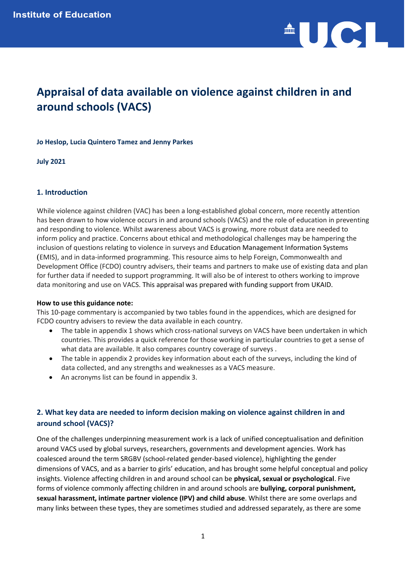

# **Appraisal of data available on violence against children in and around schools (VACS)**

## **Jo Heslop, Lucia Quintero Tamez and Jenny Parkes**

**July 2021**

## **1. Introduction**

While violence against children (VAC) has been a long-established global concern, more recently attention has been drawn to how violence occurs in and around schools (VACS) and the role of education in preventing and responding to violence. Whilst awareness about VACS is growing, more robust data are needed to inform policy and practice. Concerns about ethical and methodological challenges may be hampering the inclusion of questions relating to violence in surveys and Education Management Information Systems (EMIS), and in data-informed programming. This resource aims to help Foreign, Commonwealth and Development Office (FCDO) country advisers, their teams and partners to make use of existing data and plan for further data if needed to support programming. It will also be of interest to others working to improve data monitoring and use on VACS. This appraisal was prepared with funding support from UKAID.

## **How to use this guidance note:**

This 10-page commentary is accompanied by two tables found in the appendices, which are designed for FCDO country advisers to review the data available in each country.

- The table in appendix 1 shows which cross-national surveys on VACS have been undertaken in which countries. This provides a quick reference for those working in particular countries to get a sense of what data are available. It also compares country coverage of surveys .
- The table in appendix 2 provides key information about each of the surveys, including the kind of data collected, and any strengths and weaknesses as a VACS measure.
- An acronyms list can be found in appendix 3.

## **2. What key data are needed to inform decision making on violence against children in and around school (VACS)?**

One of the challenges underpinning measurement work is a lack of unified conceptualisation and definition around VACS used by global surveys, researchers, governments and development agencies. Work has coalesced around the term SRGBV (school-related gender-based violence), highlighting the gender dimensions of VACS, and as a barrier to girls' education, and has brought some helpful conceptual and policy insights. Violence affecting children in and around school can be **physical, sexual or psychological**. Five forms of violence commonly affecting children in and around schools are **bullying, corporal punishment, sexual harassment, intimate partner violence (IPV) and child abuse**. Whilst there are some overlaps and many links between these types, they are sometimes studied and addressed separately, as there are some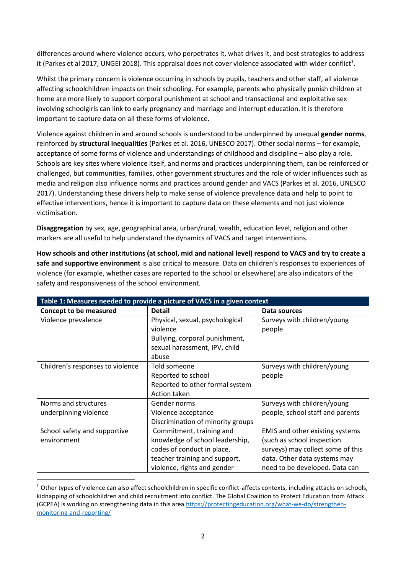differences around where violence occurs, who perpetrates it, what drives it, and best strategies to address it (Parkes et al 2017, UNGEI 2018). This appraisal does not cover violence associated with wider conflict<sup>1</sup>.

Whilst the primary concern is violence occurring in schools by pupils, teachers and other staff, all violence affecting schoolchildren impacts on their schooling. For example, parents who physically punish children at home are more likely to support corporal punishment at school and transactional and exploitative sex involving schoolgirls can link to early pregnancy and marriage and interrupt education. It is therefore important to capture data on all these forms of violence.

Violence against children in and around schools is understood to be underpinned by unequal **gender norms**, reinforced by **structural inequalities** (Parkes et al. 2016, UNESCO 2017). Other social norms – for example, acceptance of some forms of violence and understandings of childhood and discipline – also play a role. Schools are key sites where violence itself, and norms and practices underpinning them, can be reinforced or challenged, but communities, families, other government structures and the role of wider influences such as media and religion also influence norms and practices around gender and VACS (Parkes et al. 2016, UNESCO 2017). Understanding these drivers help to make sense of violence prevalence data and help to point to effective interventions, hence it is important to capture data on these elements and not just violence victimisation.

**Disaggregation** by sex, age, geographical area, urban/rural, wealth, education level, religion and other markers are all useful to help understand the dynamics of VACS and target interventions.

**How schools and other institutions (at school, mid and national level) respond to VACS and try to create a safe and supportive environment** is also critical to measure. Data on children's responses to experiences of violence (for example, whether cases are reported to the school or elsewhere) are also indicators of the safety and responsiveness of the school environment.

| Table 1: Measures needed to provide a picture of VACS in a given context |                                   |                                        |  |  |  |  |  |  |  |
|--------------------------------------------------------------------------|-----------------------------------|----------------------------------------|--|--|--|--|--|--|--|
| <b>Concept to be measured</b>                                            | <b>Detail</b>                     | Data sources                           |  |  |  |  |  |  |  |
| Violence prevalence                                                      | Physical, sexual, psychological   | Surveys with children/young            |  |  |  |  |  |  |  |
|                                                                          | violence                          | people                                 |  |  |  |  |  |  |  |
|                                                                          | Bullying, corporal punishment,    |                                        |  |  |  |  |  |  |  |
|                                                                          | sexual harassment, IPV, child     |                                        |  |  |  |  |  |  |  |
|                                                                          | abuse                             |                                        |  |  |  |  |  |  |  |
| Children's responses to violence                                         | Told someone                      | Surveys with children/young            |  |  |  |  |  |  |  |
|                                                                          | Reported to school                | people                                 |  |  |  |  |  |  |  |
|                                                                          | Reported to other formal system   |                                        |  |  |  |  |  |  |  |
|                                                                          | Action taken                      |                                        |  |  |  |  |  |  |  |
| Norms and structures                                                     | Gender norms                      | Surveys with children/young            |  |  |  |  |  |  |  |
| underpinning violence                                                    | Violence acceptance               | people, school staff and parents       |  |  |  |  |  |  |  |
|                                                                          | Discrimination of minority groups |                                        |  |  |  |  |  |  |  |
| School safety and supportive                                             | Commitment, training and          | <b>EMIS</b> and other existing systems |  |  |  |  |  |  |  |
| environment                                                              | knowledge of school leadership,   | (such as school inspection             |  |  |  |  |  |  |  |
|                                                                          | codes of conduct in place,        | surveys) may collect some of this      |  |  |  |  |  |  |  |
|                                                                          | teacher training and support,     | data. Other data systems may           |  |  |  |  |  |  |  |
|                                                                          | violence, rights and gender       | need to be developed. Data can         |  |  |  |  |  |  |  |

**<sup>1</sup>** Other types of violence can also affect schoolchildren in specific conflict-affects contexts, including attacks on schools, kidnapping of schoolchildren and child recruitment into conflict. The Global Coalition to Protect Education from Attack (GCPEA) is working on strengthening data in this area [https://protectingeducation.org/what-we-do/strengthen](https://protectingeducation.org/what-we-do/strengthen-monitoring-and-reporting/)[monitoring-and-reporting/](https://protectingeducation.org/what-we-do/strengthen-monitoring-and-reporting/)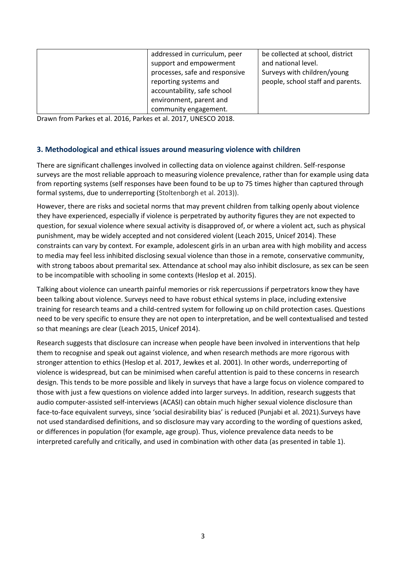| addressed in curriculum, peer  | be collected at school, district  |
|--------------------------------|-----------------------------------|
| support and empowerment        | and national level.               |
| processes, safe and responsive | Surveys with children/young       |
| reporting systems and          | people, school staff and parents. |
| accountability, safe school    |                                   |
| environment, parent and        |                                   |
| community engagement.          |                                   |

Drawn from Parkes et al. 2016, Parkes et al. 2017, UNESCO 2018.

## **3. Methodological and ethical issues around measuring violence with children**

There are significant challenges involved in collecting data on violence against children. Self-response surveys are the most reliable approach to measuring violence prevalence, rather than for example using data from reporting systems (self responses have been found to be up to 75 times higher than captured through formal systems, due to underreporting (Stoltenborgh et al. 2013)).

However, there are risks and societal norms that may prevent children from talking openly about violence they have experienced, especially if violence is perpetrated by authority figures they are not expected to question, for sexual violence where sexual activity is disapproved of, or where a violent act, such as physical punishment, may be widely accepted and not considered violent (Leach 2015, Unicef 2014). These constraints can vary by context. For example, adolescent girls in an urban area with high mobility and access to media may feel less inhibited disclosing sexual violence than those in a remote, conservative community, with strong taboos about premarital sex. Attendance at school may also inhibit disclosure, as sex can be seen to be incompatible with schooling in some contexts (Heslop et al. 2015).

Talking about violence can unearth painful memories or risk repercussions if perpetrators know they have been talking about violence. Surveys need to have robust ethical systems in place, including extensive training for research teams and a child-centred system for following up on child protection cases. Questions need to be very specific to ensure they are not open to interpretation, and be well contextualised and tested so that meanings are clear (Leach 2015, Unicef 2014).

Research suggests that disclosure can increase when people have been involved in interventions that help them to recognise and speak out against violence, and when research methods are more rigorous with stronger attention to ethics (Heslop et al. 2017, Jewkes et al. 2001). In other words, underreporting of violence is widespread, but can be minimised when careful attention is paid to these concerns in research design. This tends to be more possible and likely in surveys that have a large focus on violence compared to those with just a few questions on violence added into larger surveys. In addition, research suggests that audio computer-assisted self-interviews (ACASI) can obtain much higher sexual violence disclosure than face-to-face equivalent surveys, since 'social desirability bias' is reduced (Punjabi et al. 2021).Surveys have not used standardised definitions, and so disclosure may vary according to the wording of questions asked, or differences in population (for example, age group). Thus, violence prevalence data needs to be interpreted carefully and critically, and used in combination with other data (as presented in table 1).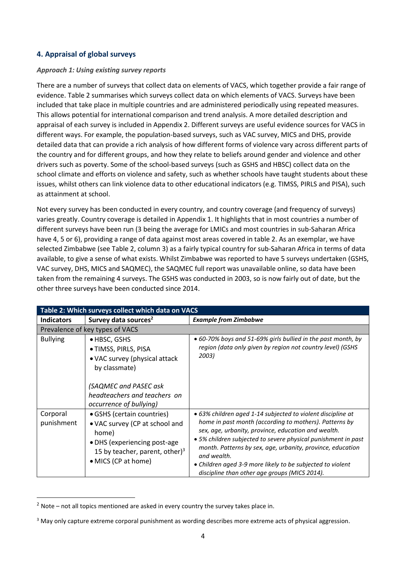## **4. Appraisal of global surveys**

## *Approach 1: Using existing survey reports*

There are a number of surveys that collect data on elements of VACS, which together provide a fair range of evidence. Table 2 summarises which surveys collect data on which elements of VACS. Surveys have been included that take place in multiple countries and are administered periodically using repeated measures. This allows potential for international comparison and trend analysis. A more detailed description and appraisal of each survey is included in Appendix 2. Different surveys are useful evidence sources for VACS in different ways. For example, the population-based surveys, such as VAC survey, MICS and DHS, provide detailed data that can provide a rich analysis of how different forms of violence vary across different parts of the country and for different groups, and how they relate to beliefs around gender and violence and other drivers such as poverty. Some of the school-based surveys (such as GSHS and HBSC) collect data on the school climate and efforts on violence and safety, such as whether schools have taught students about these issues, whilst others can link violence data to other educational indicators (e.g. TIMSS, PIRLS and PISA), such as attainment at school.

Not every survey has been conducted in every country, and country coverage (and frequency of surveys) varies greatly. Country coverage is detailed in Appendix 1. It highlights that in most countries a number of different surveys have been run (3 being the average for LMICs and most countries in sub-Saharan Africa have 4, 5 or 6), providing a range of data against most areas covered in table 2. As an exemplar, we have selected Zimbabwe (see Table 2, column 3) as a fairly typical country for sub-Saharan Africa in terms of data available, to give a sense of what exists. Whilst Zimbabwe was reported to have 5 surveys undertaken (GSHS, VAC survey, DHS, MICS and SAQMEC), the SAQMEC full report was unavailable online, so data have been taken from the remaining 4 surveys. The GSHS was conducted in 2003, so is now fairly out of date, but the other three surveys have been conducted since 2014.

| Table 2: Which surveys collect which data on VACS |                                                                                                                                                                            |                                                                                                                                                                                                                                                                                                                                                                                                                                           |  |  |  |  |  |  |  |
|---------------------------------------------------|----------------------------------------------------------------------------------------------------------------------------------------------------------------------------|-------------------------------------------------------------------------------------------------------------------------------------------------------------------------------------------------------------------------------------------------------------------------------------------------------------------------------------------------------------------------------------------------------------------------------------------|--|--|--|--|--|--|--|
| <b>Indicators</b>                                 | Survey data sources <sup>2</sup>                                                                                                                                           | <b>Example from Zimbabwe</b>                                                                                                                                                                                                                                                                                                                                                                                                              |  |  |  |  |  |  |  |
|                                                   | Prevalence of key types of VACS                                                                                                                                            |                                                                                                                                                                                                                                                                                                                                                                                                                                           |  |  |  |  |  |  |  |
| <b>Bullying</b>                                   | ● HBSC, GSHS<br>• TIMSS, PIRLS, PISA<br>• VAC survey (physical attack<br>by classmate)<br>(SAQMEC and PASEC ask<br>headteachers and teachers on<br>occurrence of bullying) | • 60-70% boys and 51-69% girls bullied in the past month, by<br>region (data only given by region not country level) (GSHS<br>2003)                                                                                                                                                                                                                                                                                                       |  |  |  |  |  |  |  |
| Corporal<br>punishment                            | • GSHS (certain countries)<br>• VAC survey (CP at school and<br>home)<br>• DHS (experiencing post-age<br>15 by teacher, parent, other) $3$<br>• MICS (CP at home)          | • 63% children aged 1-14 subjected to violent discipline at<br>home in past month (according to mothers). Patterns by<br>sex, age, urbanity, province, education and wealth.<br>• 5% children subjected to severe physical punishment in past<br>month. Patterns by sex, age, urbanity, province, education<br>and wealth.<br>• Children aged 3-9 more likely to be subjected to violent<br>discipline than other age groups (MICS 2014). |  |  |  |  |  |  |  |

 $2$  Note – not all topics mentioned are asked in every country the survey takes place in.

<sup>&</sup>lt;sup>3</sup> May only capture extreme corporal punishment as wording describes more extreme acts of physical aggression.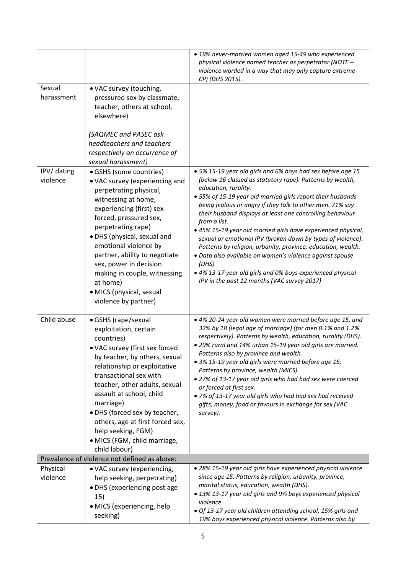|                         |                                                                                                                                                                                                                                                                                                                                                                                                               | • 19% never-married women aged 15-49 who experienced<br>physical violence named teacher as perpetrator (NOTE -<br>violence worded in a way that may only capture extreme<br>CP) (DHS 2015).                                                                                                                                                                                                                                                                                                                                                                                                                                                                                                                                                 |
|-------------------------|---------------------------------------------------------------------------------------------------------------------------------------------------------------------------------------------------------------------------------------------------------------------------------------------------------------------------------------------------------------------------------------------------------------|---------------------------------------------------------------------------------------------------------------------------------------------------------------------------------------------------------------------------------------------------------------------------------------------------------------------------------------------------------------------------------------------------------------------------------------------------------------------------------------------------------------------------------------------------------------------------------------------------------------------------------------------------------------------------------------------------------------------------------------------|
| Sexual<br>harassment    | • VAC survey (touching,<br>pressured sex by classmate,<br>teacher, others at school,<br>elsewhere)<br>(SAQMEC and PASEC ask<br>headteachers and teachers<br>respectively on occurrence of<br>sexual harassment)                                                                                                                                                                                               |                                                                                                                                                                                                                                                                                                                                                                                                                                                                                                                                                                                                                                                                                                                                             |
| IPV/ dating<br>violence | · GSHS (some countries)<br>• VAC survey (experiencing and<br>perpetrating physical,<br>witnessing at home,<br>experiencing (first) sex<br>forced, pressured sex,<br>perpetrating rape)<br>· DHS (physical, sexual and<br>emotional violence by<br>partner, ability to negotiate<br>sex, power in decision<br>making in couple, witnessing<br>at home)<br>· MICS (physical, sexual<br>violence by partner)     | • 5% 15-19 year old girls and 6% boys had sex before age 15<br>(below 16 classed as statutory rape). Patterns by wealth,<br>education, rurality.<br>• 55% of 15-19 year old married girls report their husbands<br>being jealous or angry if they talk to other men. 71% say<br>their husband displays at least one controlling behaviour<br>from a list.<br>• 45% 15-19 year old married girls have experienced physical,<br>sexual or emotional IPV (broken down by types of violence).<br>Patterns by religion, urbanity, province, education, wealth.<br>· Data also available on women's violence against spouse<br>(DHS)<br>• 4% 13-17 year old girls and 0% boys experienced physical<br>IPV in the past 12 months (VAC survey 2017) |
| Child abuse             | • GSHS (rape/sexual<br>exploitation, certain<br>countries)<br>• VAC survey (first sex forced<br>by teacher, by others, sexual<br>relationship or exploitative<br>transactional sex with<br>teacher, other adults, sexual<br>assault at school, child<br>marriage)<br>• DHS (forced sex by teacher,<br>others, age at first forced sex,<br>help seeking, FGM)<br>• MICS (FGM, child marriage,<br>child labour) | • 4% 20-24 year old women were married before age 15, and<br>32% by 18 (legal age of marriage) (for men 0.1% and 1.2%<br>respectively). Patterns by wealth, education, rurality (DHS).<br>. 29% rural and 14% urban 15-19 year old girls are married.<br>Patterns also by province and wealth.<br>• 3% 15-19 year old girls were married before age 15.<br>Patterns by province, wealth (MICS).<br>• 27% of 13-17 year old girls who had had sex were coerced<br>or forced at first sex.<br>. 7% of 13-17 year old girls who had had sex had received<br>gifts, money, food or favours in exchange for sex (VAC<br>survey).                                                                                                                 |
|                         | Prevalence of violence not defined as above:                                                                                                                                                                                                                                                                                                                                                                  |                                                                                                                                                                                                                                                                                                                                                                                                                                                                                                                                                                                                                                                                                                                                             |
| Physical<br>violence    | • VAC survey (experiencing,<br>help seeking, perpetrating)<br>• DHS (experiencing post age<br>15)<br>· MICS (experiencing, help<br>seeking)                                                                                                                                                                                                                                                                   | · 28% 15-19 year old girls have experienced physical violence<br>since age 15. Patterns by religion, urbanity, province,<br>marital status, education, wealth (DHS).<br>• 13% 13-17 year old girls and 9% boys experienced physical<br>violence.<br>· Of 13-17 year old children attending school, 15% girls and<br>19% boys experienced physical violence. Patterns also by                                                                                                                                                                                                                                                                                                                                                                |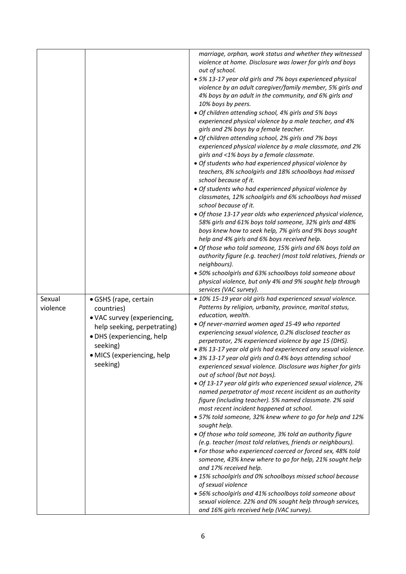|                    |                                                                                                                                                                                      | marriage, orphan, work status and whether they witnessed<br>violence at home. Disclosure was lower for girls and boys<br>out of school.<br>• 5% 13-17 year old girls and 7% boys experienced physical<br>violence by an adult caregiver/family member, 5% girls and<br>4% boys by an adult in the community, and 6% girls and<br>10% boys by peers.<br>· Of children attending school, 4% girls and 5% boys<br>experienced physical violence by a male teacher, and 4%<br>girls and 2% boys by a female teacher.<br>· Of children attending school, 2% girls and 7% boys<br>experienced physical violence by a male classmate, and 2%<br>girls and <1% boys by a female classmate.<br>· Of students who had experienced physical violence by<br>teachers, 8% schoolgirls and 18% schoolboys had missed<br>school because of it.<br>· Of students who had experienced physical violence by<br>classmates, 12% schoolgirls and 6% schoolboys had missed<br>school because of it.<br>· Of those 13-17 year olds who experienced physical violence,<br>58% girls and 61% boys told someone, 32% girls and 48%<br>boys knew how to seek help, 7% girls and 9% boys sought<br>help and 4% girls and 6% boys received help.<br>· Of those who told someone, 15% girls and 6% boys told an<br>authority figure (e.g. teacher) (most told relatives, friends or<br>neighbours).<br>• 50% schoolgirls and 63% schoolboys told someone about<br>physical violence, but only 4% and 9% sought help through<br>services (VAC survey). |
|--------------------|--------------------------------------------------------------------------------------------------------------------------------------------------------------------------------------|--------------------------------------------------------------------------------------------------------------------------------------------------------------------------------------------------------------------------------------------------------------------------------------------------------------------------------------------------------------------------------------------------------------------------------------------------------------------------------------------------------------------------------------------------------------------------------------------------------------------------------------------------------------------------------------------------------------------------------------------------------------------------------------------------------------------------------------------------------------------------------------------------------------------------------------------------------------------------------------------------------------------------------------------------------------------------------------------------------------------------------------------------------------------------------------------------------------------------------------------------------------------------------------------------------------------------------------------------------------------------------------------------------------------------------------------------------------------------------------------------------------------------|
| Sexual<br>violence | • GSHS (rape, certain<br>countries)<br>· VAC survey (experiencing,<br>help seeking, perpetrating)<br>• DHS (experiencing, help<br>seeking)<br>· MICS (experiencing, help<br>seeking) | · 10% 15-19 year old girls had experienced sexual violence.<br>Patterns by religion, urbanity, province, marital status,<br>education, wealth.<br>· Of never-married women aged 15-49 who reported<br>experiencing sexual violence, 0.2% disclosed teacher as<br>perpetrator, 2% experienced violence by age 15 (DHS).<br>· 8% 13-17 year old girls had experienced any sexual violence.<br>• 3% 13-17 year old girls and 0.4% boys attending school<br>experienced sexual violence. Disclosure was higher for girls<br>out of school (but not boys).<br>· Of 13-17 year old girls who experienced sexual violence, 2%<br>named perpetrator of most recent incident as an authority<br>figure (including teacher). 5% named classmate. 2% said<br>most recent incident happened at school.<br>• 57% told someone, 32% knew where to go for help and 12%<br>sought help.<br>· Of those who told someone, 3% told an authority figure<br>(e.g. teacher (most told relatives, friends or neighbours).<br>· For those who experienced coerced or forced sex, 48% told<br>someone, 43% knew where to go for help, 21% sought help<br>and 17% received help.<br>• 15% schoolgirls and 0% schoolboys missed school because<br>of sexual violence<br>• 56% schoolgirls and 41% schoolboys told someone about<br>sexual violence. 22% and 0% sought help through services,<br>and 16% girls received help (VAC survey).                                                                                                           |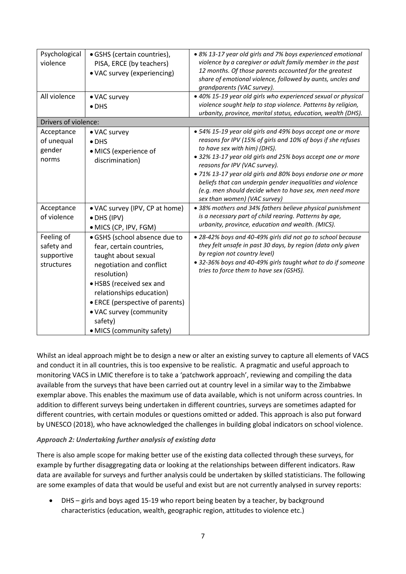| Psychological<br>violence<br>All violence            | · GSHS (certain countries),<br>PISA, ERCE (by teachers)<br>• VAC survey (experiencing)<br>• VAC survey<br>$\bullet$ DHS                                                                                                                                                                   | • 8% 13-17 year old girls and 7% boys experienced emotional<br>violence by a caregiver or adult family member in the past<br>12 months. Of those parents accounted for the greatest<br>share of emotional violence, followed by aunts, uncles and<br>grandparents (VAC survey).<br>· 40% 15-19 year old girls who experienced sexual or physical<br>violence sought help to stop violence. Patterns by religion,<br>urbanity, province, marital status, education, wealth (DHS).  |
|------------------------------------------------------|-------------------------------------------------------------------------------------------------------------------------------------------------------------------------------------------------------------------------------------------------------------------------------------------|-----------------------------------------------------------------------------------------------------------------------------------------------------------------------------------------------------------------------------------------------------------------------------------------------------------------------------------------------------------------------------------------------------------------------------------------------------------------------------------|
| Drivers of violence:                                 |                                                                                                                                                                                                                                                                                           |                                                                                                                                                                                                                                                                                                                                                                                                                                                                                   |
| Acceptance<br>of unequal<br>gender<br>norms          | • VAC survey<br>$\bullet$ DHS<br>• MICS (experience of<br>discrimination)                                                                                                                                                                                                                 | • 54% 15-19 year old girls and 49% boys accept one or more<br>reasons for IPV (15% of girls and 10% of boys if she refuses<br>to have sex with him) (DHS).<br>• 32% 13-17 year old girls and 25% boys accept one or more<br>reasons for IPV (VAC survey).<br>· 71% 13-17 year old girls and 80% boys endorse one or more<br>beliefs that can underpin gender inequalities and violence<br>(e.g. men should decide when to have sex, men need more<br>sex than women) (VAC survey) |
| Acceptance<br>of violence                            | • VAC survey (IPV, CP at home)<br>• DHS (IPV)<br>• MICS (CP, IPV, FGM)                                                                                                                                                                                                                    | • 38% mothers and 34% fathers believe physical punishment<br>is a necessary part of child rearing. Patterns by age,<br>urbanity, province, education and wealth. (MICS).                                                                                                                                                                                                                                                                                                          |
| Feeling of<br>safety and<br>supportive<br>structures | · GSHS (school absence due to<br>fear, certain countries,<br>taught about sexual<br>negotiation and conflict<br>resolution)<br>• HSBS (received sex and<br>relationships education)<br>• ERCE (perspective of parents)<br>• VAC survey (community<br>safety)<br>• MICS (community safety) | • 28-42% boys and 40-49% girls did not go to school because<br>they felt unsafe in past 30 days, by region (data only given<br>by region not country level)<br>• 32-36% boys and 40-49% girls taught what to do if someone<br>tries to force them to have sex (GSHS).                                                                                                                                                                                                             |

Whilst an ideal approach might be to design a new or alter an existing survey to capture all elements of VACS and conduct it in all countries, this is too expensive to be realistic. A pragmatic and useful approach to monitoring VACS in LMIC therefore is to take a 'patchwork approach', reviewing and compiling the data available from the surveys that have been carried out at country level in a similar way to the Zimbabwe exemplar above. This enables the maximum use of data available, which is not uniform across countries. In addition to different surveys being undertaken in different countries, surveys are sometimes adapted for different countries, with certain modules or questions omitted or added. This approach is also put forward by UNESCO (2018), who have acknowledged the challenges in building global indicators on school violence.

## *Approach 2: Undertaking further analysis of existing data*

There is also ample scope for making better use of the existing data collected through these surveys, for example by further disaggregating data or looking at the relationships between different indicators. Raw data are available for surveys and further analysis could be undertaken by skilled statisticians. The following are some examples of data that would be useful and exist but are not currently analysed in survey reports:

• DHS – girls and boys aged 15-19 who report being beaten by a teacher, by background characteristics (education, wealth, geographic region, attitudes to violence etc.)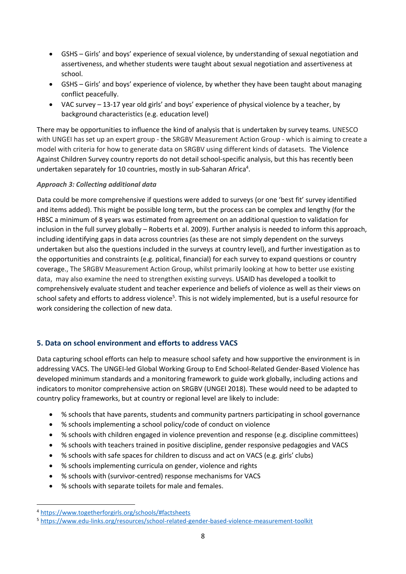- GSHS Girls' and boys' experience of sexual violence, by understanding of sexual negotiation and assertiveness, and whether students were taught about sexual negotiation and assertiveness at school.
- GSHS Girls' and boys' experience of violence, by whether they have been taught about managing conflict peacefully.
- VAC survey 13-17 year old girls' and boys' experience of physical violence by a teacher, by background characteristics (e.g. education level)

There may be opportunities to influence the kind of analysis that is undertaken by survey teams. UNESCO with UNGEI has set up an expert group - the SRGBV Measurement Action Group - which is aiming to create a model with criteria for how to generate data on SRGBV using different kinds of datasets. The Violence Against Children Survey country reports do not detail school-specific analysis, but this has recently been undertaken separately for 10 countries, mostly in sub-Saharan Africa<sup>4</sup>.

## *Approach 3: Collecting additional data*

Data could be more comprehensive if questions were added to surveys (or one 'best fit' survey identified and items added). This might be possible long term, but the process can be complex and lengthy (for the HBSC a minimum of 8 years was estimated from agreement on an additional question to validation for inclusion in the full survey globally – Roberts et al. 2009). Further analysis is needed to inform this approach, including identifying gaps in data across countries (as these are not simply dependent on the surveys undertaken but also the questions included in the surveys at country level), and further investigation as to the opportunities and constraints (e.g. political, financial) for each survey to expand questions or country coverage., The SRGBV Measurement Action Group, whilst primarily looking at how to better use existing data, may also examine the need to strengthen existing surveys. USAID has developed a toolkit to comprehensively evaluate student and teacher experience and beliefs of violence as well as their views on school safety and efforts to address violence<sup>5</sup>. This is not widely implemented, but is a useful resource for work considering the collection of new data.

## **5. Data on school environment and efforts to address VACS**

Data capturing school efforts can help to measure school safety and how supportive the environment is in addressing VACS. The UNGEI-led Global Working Group to End School-Related Gender-Based Violence has developed minimum standards and a monitoring framework to guide work globally, including actions and indicators to monitor comprehensive action on SRGBV (UNGEI 2018). These would need to be adapted to country policy frameworks, but at country or regional level are likely to include:

- % schools that have parents, students and community partners participating in school governance
- % schools implementing a school policy/code of conduct on violence
- % schools with children engaged in violence prevention and response (e.g. discipline committees)
- % schools with teachers trained in positive discipline, gender responsive pedagogies and VACS
- % schools with safe spaces for children to discuss and act on VACS (e.g. girls' clubs)
- % schools implementing curricula on gender, violence and rights
- % schools with (survivor-centred) response mechanisms for VACS
- % schools with separate toilets for male and females.

<sup>4</sup> <https://www.togetherforgirls.org/schools/#factsheets>

<sup>5</sup> <https://www.edu-links.org/resources/school-related-gender-based-violence-measurement-toolkit>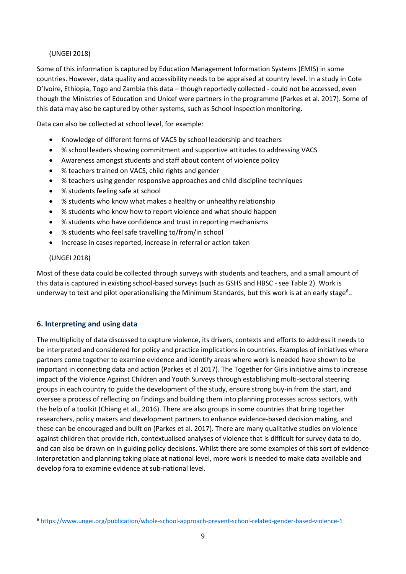## (UNGEI 2018)

Some of this information is captured by Education Management Information Systems (EMIS) in some countries. However, data quality and accessibility needs to be appraised at country level. In a study in Cote D'Ivoire, Ethiopia, Togo and Zambia this data – though reportedly collected - could not be accessed, even though the Ministries of Education and Unicef were partners in the programme (Parkes et al. 2017). Some of this data may also be captured by other systems, such as School Inspection monitoring.

Data can also be collected at school level, for example:

- Knowledge of different forms of VACS by school leadership and teachers
- % school leaders showing commitment and supportive attitudes to addressing VACS
- Awareness amongst students and staff about content of violence policy
- % teachers trained on VACS, child rights and gender
- % teachers using gender responsive approaches and child discipline techniques
- % students feeling safe at school
- % students who know what makes a healthy or unhealthy relationship
- % students who know how to report violence and what should happen
- % students who have confidence and trust in reporting mechanisms
- % students who feel safe travelling to/from/in school
- Increase in cases reported, increase in referral or action taken

## (UNGEI 2018)

Most of these data could be collected through surveys with students and teachers, and a small amount of this data is captured in existing school-based surveys (such as GSHS and HBSC - see Table 2). Work is underway to test and pilot operationalising the Minimum Standards, but this work is at an early stage<sup>6</sup>..

## **6. Interpreting and using data**

The multiplicity of data discussed to capture violence, its drivers, contexts and efforts to address it needs to be interpreted and considered for policy and practice implications in countries. Examples of initiatives where partners come together to examine evidence and identify areas where work is needed have shown to be important in connecting data and action (Parkes et al 2017). The Together for Girls initiative aims to increase impact of the Violence Against Children and Youth Surveys through establishing multi-sectoral steering groups in each country to guide the development of the study, ensure strong buy-in from the start, and oversee a process of reflecting on findings and building them into planning processes across sectors, with the help of a toolkit (Chiang et al., 2016). There are also groups in some countries that bring together researchers, policy makers and development partners to enhance evidence-based decision making, and these can be encouraged and built on (Parkes et al. 2017). There are many qualitative studies on violence against children that provide rich, contextualised analyses of violence that is difficult for survey data to do, and can also be drawn on in guiding policy decisions. Whilst there are some examples of this sort of evidence interpretation and planning taking place at national level, more work is needed to make data available and develop fora to examine evidence at sub-national level.

<sup>6</sup> <https://www.ungei.org/publication/whole-school-approach-prevent-school-related-gender-based-violence-1>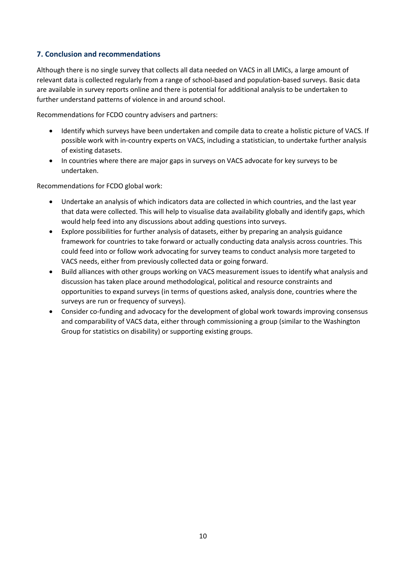## **7. Conclusion and recommendations**

Although there is no single survey that collects all data needed on VACS in all LMICs, a large amount of relevant data is collected regularly from a range of school-based and population-based surveys. Basic data are available in survey reports online and there is potential for additional analysis to be undertaken to further understand patterns of violence in and around school.

Recommendations for FCDO country advisers and partners:

- Identify which surveys have been undertaken and compile data to create a holistic picture of VACS. If possible work with in-country experts on VACS, including a statistician, to undertake further analysis of existing datasets.
- In countries where there are major gaps in surveys on VACS advocate for key surveys to be undertaken.

Recommendations for FCDO global work:

- Undertake an analysis of which indicators data are collected in which countries, and the last year that data were collected. This will help to visualise data availability globally and identify gaps, which would help feed into any discussions about adding questions into surveys.
- Explore possibilities for further analysis of datasets, either by preparing an analysis guidance framework for countries to take forward or actually conducting data analysis across countries. This could feed into or follow work advocating for survey teams to conduct analysis more targeted to VACS needs, either from previously collected data or going forward.
- Build alliances with other groups working on VACS measurement issues to identify what analysis and discussion has taken place around methodological, political and resource constraints and opportunities to expand surveys (in terms of questions asked, analysis done, countries where the surveys are run or frequency of surveys).
- Consider co-funding and advocacy for the development of global work towards improving consensus and comparability of VACS data, either through commissioning a group (similar to the Washington Group for statistics on disability) or supporting existing groups.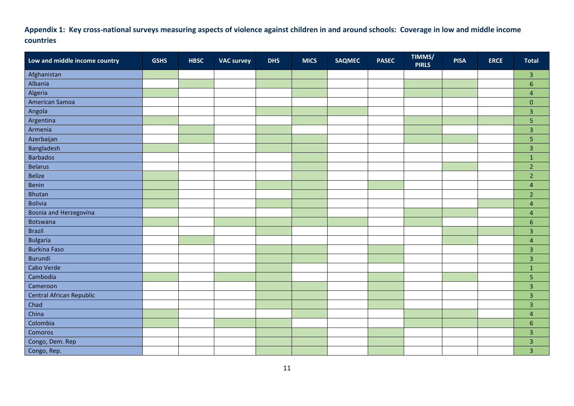## **Appendix 1: Key cross-national surveys measuring aspects of violence against children in and around schools: Coverage in low and middle income countries**

| Low and middle income country   | <b>GSHS</b> | <b>HBSC</b> | <b>VAC survey</b> | <b>DHS</b> | <b>MICS</b> | <b>SAQMEC</b> | <b>PASEC</b> | TIMMS/<br><b>PIRLS</b> | <b>PISA</b> | <b>ERCE</b> | <b>Total</b>   |
|---------------------------------|-------------|-------------|-------------------|------------|-------------|---------------|--------------|------------------------|-------------|-------------|----------------|
| Afghanistan                     |             |             |                   |            |             |               |              |                        |             |             | 3              |
| Albania                         |             |             |                   |            |             |               |              |                        |             |             | 6              |
| Algeria                         |             |             |                   |            |             |               |              |                        |             |             | $\overline{4}$ |
| American Samoa                  |             |             |                   |            |             |               |              |                        |             |             | $\mathbf 0$    |
| Angola                          |             |             |                   |            |             |               |              |                        |             |             | 3              |
| Argentina                       |             |             |                   |            |             |               |              |                        |             |             | 5              |
| Armenia                         |             |             |                   |            |             |               |              |                        |             |             | 3              |
| Azerbaijan                      |             |             |                   |            |             |               |              |                        |             |             | 5              |
| Bangladesh                      |             |             |                   |            |             |               |              |                        |             |             | 3              |
| <b>Barbados</b>                 |             |             |                   |            |             |               |              |                        |             |             | $\mathbf 1$    |
| <b>Belarus</b>                  |             |             |                   |            |             |               |              |                        |             |             | $\overline{2}$ |
| <b>Belize</b>                   |             |             |                   |            |             |               |              |                        |             |             | $\overline{2}$ |
| Benin                           |             |             |                   |            |             |               |              |                        |             |             | $\overline{4}$ |
| <b>Bhutan</b>                   |             |             |                   |            |             |               |              |                        |             |             | $\overline{2}$ |
| <b>Bolivia</b>                  |             |             |                   |            |             |               |              |                        |             |             | 4              |
| Bosnia and Herzegovina          |             |             |                   |            |             |               |              |                        |             |             | $\overline{4}$ |
| Botswana                        |             |             |                   |            |             |               |              |                        |             |             | 6              |
| <b>Brazil</b>                   |             |             |                   |            |             |               |              |                        |             |             | 3              |
| <b>Bulgaria</b>                 |             |             |                   |            |             |               |              |                        |             |             | $\overline{4}$ |
| <b>Burkina Faso</b>             |             |             |                   |            |             |               |              |                        |             |             | 3              |
| <b>Burundi</b>                  |             |             |                   |            |             |               |              |                        |             |             | 3              |
| Cabo Verde                      |             |             |                   |            |             |               |              |                        |             |             | $\mathbf 1$    |
| Cambodia                        |             |             |                   |            |             |               |              |                        |             |             | 5              |
| Cameroon                        |             |             |                   |            |             |               |              |                        |             |             | 3              |
| <b>Central African Republic</b> |             |             |                   |            |             |               |              |                        |             |             | $\overline{3}$ |
| Chad                            |             |             |                   |            |             |               |              |                        |             |             | 3              |
| China                           |             |             |                   |            |             |               |              |                        |             |             | 4              |
| Colombia                        |             |             |                   |            |             |               |              |                        |             |             | 6              |
| Comoros                         |             |             |                   |            |             |               |              |                        |             |             | 3              |
| Congo, Dem. Rep                 |             |             |                   |            |             |               |              |                        |             |             | 3              |
| Congo, Rep.                     |             |             |                   |            |             |               |              |                        |             |             | 3              |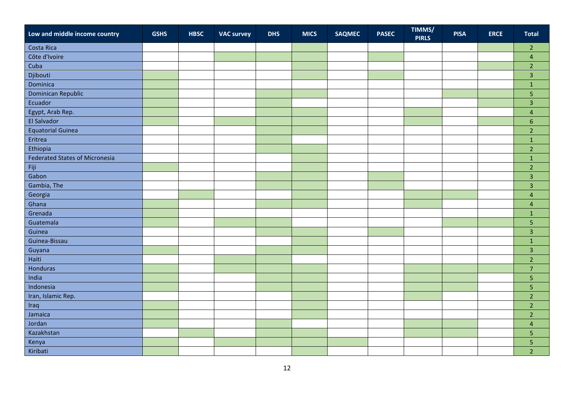| Low and middle income country         | <b>GSHS</b> | <b>HBSC</b> | <b>VAC survey</b> | <b>DHS</b> | <b>MICS</b> | <b>SAQMEC</b> | <b>PASEC</b> | TIMMS/<br><b>PIRLS</b> | <b>PISA</b> | <b>ERCE</b> | <b>Total</b>            |
|---------------------------------------|-------------|-------------|-------------------|------------|-------------|---------------|--------------|------------------------|-------------|-------------|-------------------------|
| Costa Rica                            |             |             |                   |            |             |               |              |                        |             |             | $\overline{2}$          |
| Côte d'Ivoire                         |             |             |                   |            |             |               |              |                        |             |             | $\overline{4}$          |
| Cuba                                  |             |             |                   |            |             |               |              |                        |             |             | $\overline{2}$          |
| Djibouti                              |             |             |                   |            |             |               |              |                        |             |             | $\overline{3}$          |
| Dominica                              |             |             |                   |            |             |               |              |                        |             |             | $\mathbf 1$             |
| Dominican Republic                    |             |             |                   |            |             |               |              |                        |             |             | 5                       |
| Ecuador                               |             |             |                   |            |             |               |              |                        |             |             | $\overline{3}$          |
| Egypt, Arab Rep.                      |             |             |                   |            |             |               |              |                        |             |             | $\overline{4}$          |
| El Salvador                           |             |             |                   |            |             |               |              |                        |             |             | $6\phantom{1}$          |
| <b>Equatorial Guinea</b>              |             |             |                   |            |             |               |              |                        |             |             | $\overline{2}$          |
| Eritrea                               |             |             |                   |            |             |               |              |                        |             |             | $\mathbf 1$             |
| Ethiopia                              |             |             |                   |            |             |               |              |                        |             |             | $\overline{2}$          |
| <b>Federated States of Micronesia</b> |             |             |                   |            |             |               |              |                        |             |             | $\mathbf{1}$            |
| Fiji                                  |             |             |                   |            |             |               |              |                        |             |             | $\overline{2}$          |
| Gabon                                 |             |             |                   |            |             |               |              |                        |             |             | $\overline{3}$          |
| Gambia, The                           |             |             |                   |            |             |               |              |                        |             |             | $\overline{3}$          |
| Georgia                               |             |             |                   |            |             |               |              |                        |             |             | $\overline{4}$          |
| Ghana                                 |             |             |                   |            |             |               |              |                        |             |             | $\overline{\mathbf{4}}$ |
| Grenada                               |             |             |                   |            |             |               |              |                        |             |             | $\mathbf{1}$            |
| Guatemala                             |             |             |                   |            |             |               |              |                        |             |             | $\overline{5}$          |
| Guinea                                |             |             |                   |            |             |               |              |                        |             |             | $\overline{3}$          |
| Guinea-Bissau                         |             |             |                   |            |             |               |              |                        |             |             | $\mathbf 1$             |
| Guyana                                |             |             |                   |            |             |               |              |                        |             |             | $\overline{3}$          |
| Haiti                                 |             |             |                   |            |             |               |              |                        |             |             | $\overline{2}$          |
| Honduras                              |             |             |                   |            |             |               |              |                        |             |             | $\overline{7}$          |
| India                                 |             |             |                   |            |             |               |              |                        |             |             | $\overline{\mathbf{5}}$ |
| Indonesia                             |             |             |                   |            |             |               |              |                        |             |             | $\overline{5}$          |
| Iran, Islamic Rep.                    |             |             |                   |            |             |               |              |                        |             |             | $\overline{2}$          |
| Iraq                                  |             |             |                   |            |             |               |              |                        |             |             | $\overline{2}$          |
| Jamaica                               |             |             |                   |            |             |               |              |                        |             |             | $\overline{2}$          |
| Jordan                                |             |             |                   |            |             |               |              |                        |             |             | $\overline{4}$          |
| Kazakhstan                            |             |             |                   |            |             |               |              |                        |             |             | $\overline{5}$          |
| Kenya                                 |             |             |                   |            |             |               |              |                        |             |             | 5                       |
| Kiribati                              |             |             |                   |            |             |               |              |                        |             |             | $\overline{2}$          |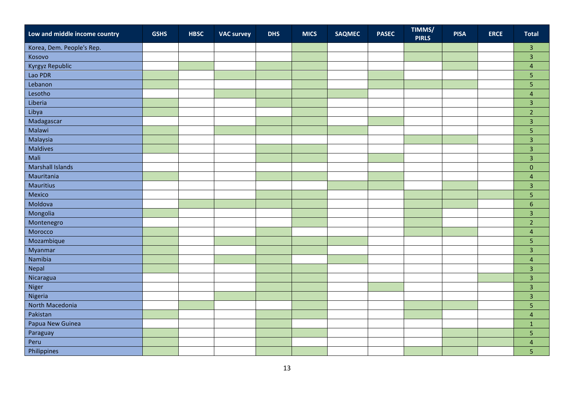| Low and middle income country | <b>GSHS</b> | <b>HBSC</b> | <b>VAC survey</b> | <b>DHS</b> | <b>MICS</b> | <b>SAQMEC</b> | <b>PASEC</b> | TIMMS/<br><b>PIRLS</b> | <b>PISA</b> | <b>ERCE</b> | <b>Total</b>            |
|-------------------------------|-------------|-------------|-------------------|------------|-------------|---------------|--------------|------------------------|-------------|-------------|-------------------------|
| Korea, Dem. People's Rep.     |             |             |                   |            |             |               |              |                        |             |             | $\overline{\mathbf{3}}$ |
| Kosovo                        |             |             |                   |            |             |               |              |                        |             |             | $\overline{3}$          |
| Kyrgyz Republic               |             |             |                   |            |             |               |              |                        |             |             | $\overline{4}$          |
| Lao PDR                       |             |             |                   |            |             |               |              |                        |             |             | $\overline{5}$          |
| Lebanon                       |             |             |                   |            |             |               |              |                        |             |             | $\overline{5}$          |
| Lesotho                       |             |             |                   |            |             |               |              |                        |             |             | $\overline{4}$          |
| Liberia                       |             |             |                   |            |             |               |              |                        |             |             | $\overline{3}$          |
| Libya                         |             |             |                   |            |             |               |              |                        |             |             | $\overline{2}$          |
| Madagascar                    |             |             |                   |            |             |               |              |                        |             |             | $\overline{3}$          |
| Malawi                        |             |             |                   |            |             |               |              |                        |             |             | 5                       |
| Malaysia                      |             |             |                   |            |             |               |              |                        |             |             | $\overline{3}$          |
| Maldives                      |             |             |                   |            |             |               |              |                        |             |             | $\overline{3}$          |
| Mali                          |             |             |                   |            |             |               |              |                        |             |             | $\overline{3}$          |
| <b>Marshall Islands</b>       |             |             |                   |            |             |               |              |                        |             |             | $\pmb{0}$               |
| Mauritania                    |             |             |                   |            |             |               |              |                        |             |             | $\overline{\mathbf{4}}$ |
| Mauritius                     |             |             |                   |            |             |               |              |                        |             |             | $\overline{3}$          |
| Mexico                        |             |             |                   |            |             |               |              |                        |             |             | $\overline{5}$          |
| Moldova                       |             |             |                   |            |             |               |              |                        |             |             | $\boldsymbol{6}$        |
| Mongolia                      |             |             |                   |            |             |               |              |                        |             |             | $\overline{3}$          |
| Montenegro                    |             |             |                   |            |             |               |              |                        |             |             | $\overline{2}$          |
| Morocco                       |             |             |                   |            |             |               |              |                        |             |             | $\overline{4}$          |
| Mozambique                    |             |             |                   |            |             |               |              |                        |             |             | $\overline{5}$          |
| Myanmar                       |             |             |                   |            |             |               |              |                        |             |             | $\overline{3}$          |
| Namibia                       |             |             |                   |            |             |               |              |                        |             |             | $\overline{4}$          |
| Nepal                         |             |             |                   |            |             |               |              |                        |             |             | $\overline{3}$          |
| Nicaragua                     |             |             |                   |            |             |               |              |                        |             |             | $\overline{3}$          |
| Niger                         |             |             |                   |            |             |               |              |                        |             |             | $\overline{3}$          |
| Nigeria                       |             |             |                   |            |             |               |              |                        |             |             | $\overline{3}$          |
| North Macedonia               |             |             |                   |            |             |               |              |                        |             |             | $\overline{\mathbf{5}}$ |
| Pakistan                      |             |             |                   |            |             |               |              |                        |             |             | $\overline{4}$          |
| Papua New Guinea              |             |             |                   |            |             |               |              |                        |             |             | $\mathbf{1}$            |
| Paraguay                      |             |             |                   |            |             |               |              |                        |             |             | $\overline{5}$          |
| Peru                          |             |             |                   |            |             |               |              |                        |             |             | $\overline{4}$          |
| Philippines                   |             |             |                   |            |             |               |              |                        |             |             | $\overline{5}$          |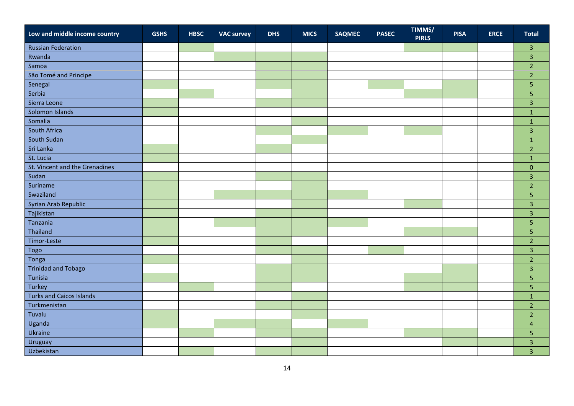| Low and middle income country   | <b>GSHS</b> | <b>HBSC</b> | <b>VAC survey</b> | <b>DHS</b> | <b>MICS</b> | <b>SAQMEC</b> | <b>PASEC</b> | TIMMS/<br><b>PIRLS</b> | <b>PISA</b> | <b>ERCE</b> | <b>Total</b>   |
|---------------------------------|-------------|-------------|-------------------|------------|-------------|---------------|--------------|------------------------|-------------|-------------|----------------|
| <b>Russian Federation</b>       |             |             |                   |            |             |               |              |                        |             |             | $\mathsf 3$    |
| Rwanda                          |             |             |                   |            |             |               |              |                        |             |             | $\overline{3}$ |
| Samoa                           |             |             |                   |            |             |               |              |                        |             |             | $\overline{2}$ |
| São Tomé and Principe           |             |             |                   |            |             |               |              |                        |             |             | $\overline{2}$ |
| Senegal                         |             |             |                   |            |             |               |              |                        |             |             | $\overline{5}$ |
| Serbia                          |             |             |                   |            |             |               |              |                        |             |             | $\overline{5}$ |
| Sierra Leone                    |             |             |                   |            |             |               |              |                        |             |             | $\overline{3}$ |
| Solomon Islands                 |             |             |                   |            |             |               |              |                        |             |             | $\mathbf 1$    |
| Somalia                         |             |             |                   |            |             |               |              |                        |             |             | $\mathbf{1}$   |
| South Africa                    |             |             |                   |            |             |               |              |                        |             |             | $\overline{3}$ |
| South Sudan                     |             |             |                   |            |             |               |              |                        |             |             | $\mathbf 1$    |
| Sri Lanka                       |             |             |                   |            |             |               |              |                        |             |             | $\overline{2}$ |
| St. Lucia                       |             |             |                   |            |             |               |              |                        |             |             | $\mathbf{1}$   |
| St. Vincent and the Grenadines  |             |             |                   |            |             |               |              |                        |             |             | $\pmb{0}$      |
| Sudan                           |             |             |                   |            |             |               |              |                        |             |             | $\overline{3}$ |
| Suriname                        |             |             |                   |            |             |               |              |                        |             |             | $\overline{2}$ |
| Swaziland                       |             |             |                   |            |             |               |              |                        |             |             | $\overline{5}$ |
| Syrian Arab Republic            |             |             |                   |            |             |               |              |                        |             |             | $\overline{3}$ |
| Tajikistan                      |             |             |                   |            |             |               |              |                        |             |             | $\overline{3}$ |
| Tanzania                        |             |             |                   |            |             |               |              |                        |             |             | $\overline{5}$ |
| Thailand                        |             |             |                   |            |             |               |              |                        |             |             | $\overline{5}$ |
| Timor-Leste                     |             |             |                   |            |             |               |              |                        |             |             | $\overline{2}$ |
| Togo                            |             |             |                   |            |             |               |              |                        |             |             | $\overline{3}$ |
| Tonga                           |             |             |                   |            |             |               |              |                        |             |             | $\overline{2}$ |
| <b>Trinidad and Tobago</b>      |             |             |                   |            |             |               |              |                        |             |             | $\overline{3}$ |
| Tunisia                         |             |             |                   |            |             |               |              |                        |             |             | $\overline{5}$ |
| Turkey                          |             |             |                   |            |             |               |              |                        |             |             | $\overline{5}$ |
| <b>Turks and Caicos Islands</b> |             |             |                   |            |             |               |              |                        |             |             | $\mathbf 1$    |
| Turkmenistan                    |             |             |                   |            |             |               |              |                        |             |             | $\overline{2}$ |
| Tuvalu                          |             |             |                   |            |             |               |              |                        |             |             | $\overline{2}$ |
| Uganda                          |             |             |                   |            |             |               |              |                        |             |             | $\overline{4}$ |
| Ukraine                         |             |             |                   |            |             |               |              |                        |             |             | $\overline{5}$ |
| Uruguay                         |             |             |                   |            |             |               |              |                        |             |             | $\overline{3}$ |
| Uzbekistan                      |             |             |                   |            |             |               |              |                        |             |             | $\overline{3}$ |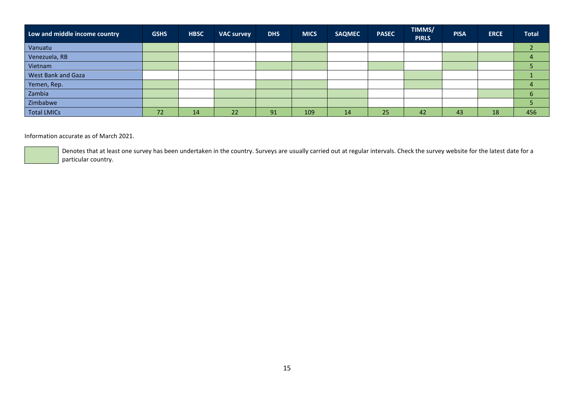| Low and middle income country | <b>GSHS</b> | <b>HBSC</b> | <b>VAC survey</b> | <b>DHS</b> | <b>MICS</b> | <b>SAQMEC</b> | <b>PASEC</b> | TIMMS/<br><b>PIRLS</b> | <b>PISA</b> | <b>ERCE</b> | <b>Total</b> |
|-------------------------------|-------------|-------------|-------------------|------------|-------------|---------------|--------------|------------------------|-------------|-------------|--------------|
| Vanuatu                       |             |             |                   |            |             |               |              |                        |             |             |              |
| Venezuela, RB                 |             |             |                   |            |             |               |              |                        |             |             |              |
| Vietnam                       |             |             |                   |            |             |               |              |                        |             |             |              |
| West Bank and Gaza            |             |             |                   |            |             |               |              |                        |             |             |              |
| Yemen, Rep.                   |             |             |                   |            |             |               |              |                        |             |             |              |
| Zambia                        |             |             |                   |            |             |               |              |                        |             |             | b            |
| Zimbabwe                      |             |             |                   |            |             |               |              |                        |             |             |              |
| <b>Total LMICs</b>            | 72          | 14          | 22                | 91         | 109         | 14            | 25           | 42                     | 43          | 18          | 456          |

### Information accurate as of March 2021.

Denotes that at least one survey has been undertaken in the country. Surveys are usually carried out at regular intervals. Check the survey website for the latest date for a particular country.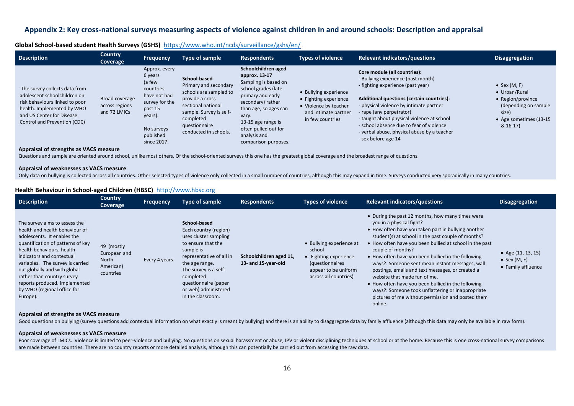## **Appendix 2: Key cross-national surveys measuring aspects of violence against children in and around schools: Description and appraisal**

| Global School-based student Health Surveys (GSHS) https://www.who.int/ncds/surveillance/gshs/en/ |  |
|--------------------------------------------------------------------------------------------------|--|
|--------------------------------------------------------------------------------------------------|--|

| <b>Description</b>                                                                                                                                                                         | <b>Country</b><br>Coverage                       | <b>Frequency</b>                                                                                                                                  | Type of sample                                                                                                                                                                             | <b>Respondents</b>                                                                                                                                                                                                                                    | <b>Types of violence</b>                                                                                            | <b>Relevant indicators/questions</b>                                                                                                                                                                                                                                                                                                                                                               | <b>Disaggregation</b>                                                                                                               |
|--------------------------------------------------------------------------------------------------------------------------------------------------------------------------------------------|--------------------------------------------------|---------------------------------------------------------------------------------------------------------------------------------------------------|--------------------------------------------------------------------------------------------------------------------------------------------------------------------------------------------|-------------------------------------------------------------------------------------------------------------------------------------------------------------------------------------------------------------------------------------------------------|---------------------------------------------------------------------------------------------------------------------|----------------------------------------------------------------------------------------------------------------------------------------------------------------------------------------------------------------------------------------------------------------------------------------------------------------------------------------------------------------------------------------------------|-------------------------------------------------------------------------------------------------------------------------------------|
| The survey collects data from<br>adolescent schoolchildren on<br>risk behaviours linked to poor<br>health. Implemented by WHO<br>and US Center for Disease<br>Control and Prevention (CDC) | Broad coverage<br>across regions<br>and 72 LMICs | Approx. every<br>6 years<br>(a few<br>countries<br>have not had<br>survey for the<br>past 15<br>years).<br>No surveys<br>published<br>since 2017. | School-based<br>Primary and secondary<br>schools are sampled to<br>provide a cross<br>sectional national<br>sample. Survey is self-<br>completed<br>questionnaire<br>conducted in schools. | Schoolchildren aged<br>approx. 13-17<br>Sampling is based on<br>school grades (late<br>primary and early<br>secondary) rather<br>than age, so ages can<br>vary.<br>13-15 age range is<br>often pulled out for<br>analysis and<br>comparison purposes. | • Bullying experience<br>• Fighting experience<br>• Violence by teacher<br>and intimate partner<br>in few countries | Core module (all countries):<br>- Bullying experience (past month)<br>- fighting experience (past year)<br><b>Additional questions (certain countries):</b><br>- physical violence by intimate partner<br>- rape (any perpetrator)<br>- taught about physical violence at school<br>- school absence due to fear of violence<br>- verbal abuse, physical abuse by a teacher<br>- sex before age 14 | $\bullet$ Sex (M, F)<br>• Urban/Rural<br>• Region/province<br>(depending on sample<br>size)<br>• Age sometimes (13-15<br>$& 16-17)$ |

**Appraisal of strengths as VACS measure**

Questions and sample are oriented around school, unlike most others. Of the school-oriented surveys this one has the greatest global coverage and the broadest range of questions.

#### **Appraisal of weaknesses as VACS measure**

Only data on bullying is collected across all countries. Other selected types of violence only collected in a small number of countries, although this may expand in time. Surveys conducted very sporadically in many countri

### **Health Behaviour in School-aged Children (HBSC)** [http://www.hbsc.org](http://www.hbsc.org/)

| <b>Description</b>                                                                                                                                                                                                                                                                                                                                                          | <b>Country</b><br>Coverage                                    | Frequency     | Type of sample                                                                                                                                                                                                                                             | <b>Respondents</b>                             | <b>Types of violence</b>                                                                                                         | <b>Relevant indicators/questions</b>                                                                                                                                                                                                                                                                                                                                                                                                                                                                                                                                                                                                              | <b>Disaggregation</b>                                              |
|-----------------------------------------------------------------------------------------------------------------------------------------------------------------------------------------------------------------------------------------------------------------------------------------------------------------------------------------------------------------------------|---------------------------------------------------------------|---------------|------------------------------------------------------------------------------------------------------------------------------------------------------------------------------------------------------------------------------------------------------------|------------------------------------------------|----------------------------------------------------------------------------------------------------------------------------------|---------------------------------------------------------------------------------------------------------------------------------------------------------------------------------------------------------------------------------------------------------------------------------------------------------------------------------------------------------------------------------------------------------------------------------------------------------------------------------------------------------------------------------------------------------------------------------------------------------------------------------------------------|--------------------------------------------------------------------|
| The survey aims to assess the<br>health and health behaviour of<br>adolescents. It enables the<br>quantification of patterns of key<br>health behaviours, health<br>indicators and contextual<br>variables. The survey is carried<br>out globally and with global<br>rather than country survey<br>reports produced. Implemented<br>by WHO (regional office for<br>Europe). | 49 (mostly<br>European and<br>North<br>American)<br>countries | Every 4 years | School-based<br>Each country (region)<br>uses cluster sampling<br>to ensure that the<br>sample is<br>representative of all in<br>the age range.<br>The survey is a self-<br>completed<br>questionnaire (paper<br>or web) administered<br>in the classroom. | Schoolchildren aged 11,<br>13- and 15-year-old | • Bullying experience at<br>school<br>• Fighting experience<br>(questionnaires)<br>appear to be uniform<br>across all countries) | • During the past 12 months, how many times were<br>you in a physical fight?<br>• How often have you taken part in bullying another<br>student(s) at school in the past couple of months?<br>• How often have you been bullied at school in the past<br>couple of months?<br>• How often have you been bullied in the following<br>ways?: Someone sent mean instant messages, wall<br>postings, emails and text messages, or created a<br>website that made fun of me.<br>• How often have you been bullied in the following<br>ways?: Someone took unflattering or inappropriate<br>pictures of me without permission and posted them<br>online. | • Age $(11, 13, 15)$<br>$\bullet$ Sex (M, F)<br>• Family affluence |

#### **Appraisal of strengths as VACS measure**

Good questions on bullying (survey questions add contextual information on what exactly is meant by bullying) and there is an ability to disaggregate data by family affluence (although this data may only be available in ra

#### **Appraisal of weaknesses as VACS measure**

Poor coverage of LMICs. Violence is limited to peer-violence and bullying. No questions on sexual harassment or abuse, IPV or violent disciplining techniques at school or at the home. Because this is one cross-national sur are made between countries. There are no country reports or more detailed analysis, although this can potentially be carried out from accessing the raw data.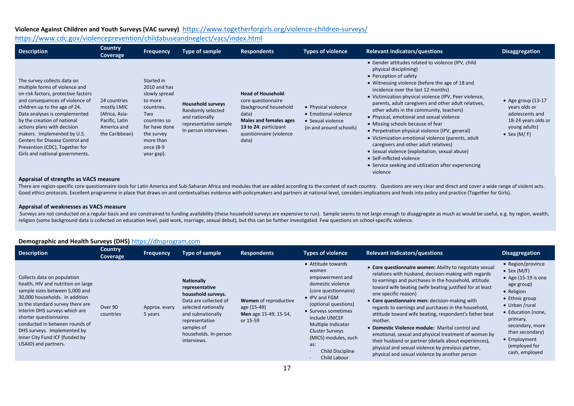## **Violence Against Children and Youth Surveys (VAC survey)** <https://www.togetherforgirls.org/violence-children-surveys/>

## <https://www.cdc.gov/violenceprevention/childabuseandneglect/vacs/index.html>

| <b>Description</b>                                                                                                                                                                                                                                                                                                                                                                                             | <b>Country</b><br>Coverage                                                                       | <b>Frequency</b>                                                                                                                                                   | Type of sample                                                                                                    | <b>Respondents</b>                                                                                                                                                              | <b>Types of violence</b>                                                                    | <b>Relevant indicators/questions</b>                                                                                                                                                                                                                                                                                                                                                                                                                                                                                                                                                                                                                                                                                                                 | <b>Disaggregation</b>                                                                                              |
|----------------------------------------------------------------------------------------------------------------------------------------------------------------------------------------------------------------------------------------------------------------------------------------------------------------------------------------------------------------------------------------------------------------|--------------------------------------------------------------------------------------------------|--------------------------------------------------------------------------------------------------------------------------------------------------------------------|-------------------------------------------------------------------------------------------------------------------|---------------------------------------------------------------------------------------------------------------------------------------------------------------------------------|---------------------------------------------------------------------------------------------|------------------------------------------------------------------------------------------------------------------------------------------------------------------------------------------------------------------------------------------------------------------------------------------------------------------------------------------------------------------------------------------------------------------------------------------------------------------------------------------------------------------------------------------------------------------------------------------------------------------------------------------------------------------------------------------------------------------------------------------------------|--------------------------------------------------------------------------------------------------------------------|
| The survey collects data on<br>multiple forms of violence and<br>on risk factors, protective factors<br>and consequences of violence of<br>children up to the age of 24.<br>Data analyses is complemented<br>by the creation of national<br>actions plans with decision<br>makers. Implemented by U.S.<br>Centers for Disease Control and<br>Prevention (CDC), Together for<br>Girls and national governments. | 24 countries<br>mostly LMIC<br>(Africa, Asia-<br>Pacific, Latin<br>America and<br>the Caribbean) | Started in<br>2010 and has<br>slowly spread<br>to more<br>countries.<br>Two<br>countries so<br>far have done<br>the survey<br>more than<br>once (8-9<br>year gap). | <b>Household surveys</b><br>Randomly selected<br>and nationally<br>representative sample<br>In person interviews. | <b>Head of Household:</b><br>core questionnaire<br>(background household<br>data)<br><b>Males and females ages</b><br>13 to 24: participant<br>questionnaire (violence<br>data) | • Physical violence<br>• Emotional violence<br>• Sexual violence<br>(in and around schools) | • Gender attitudes related to violence (IPV, child<br>physical disciplining)<br>• Perception of safety<br>• Witnessing violence (before the age of 18 and<br>incidence over the last 12 months)<br>• Victimization physical violence (IPV, Peer violence,<br>parents, adult caregivers and other adult relatives,<br>other adults in the community, teachers)<br>• Physical, emotional and sexual violence<br>• Missing schools because of fear<br>• Perpetration physical violence (IPV, general)<br>• Victimization emotional violence (parents, adult<br>caregivers and other adult relatives)<br>• Sexual violence (exploitation, sexual abuse)<br>• Self-inflicted violence<br>• Service seeking and utilization after experiencing<br>violence | • Age group $(13-17)$<br>years olds or<br>adolescents and<br>18-24 years olds or<br>young adults)<br>• Sex $(M/F)$ |

#### **Appraisal of strengths as VACS measure**

There are region-specific core questionnaire tools for Latin America and Sub-Saharan Africa and modules that are added according to the context of each country. Questions are very clear and direct and cover a wide range of Good ethics protocols. Excellent programme in place that draws on and contextualises evidence with policymakers and partners at national level, considers implications and feeds into policy and practice (Together for Girls)

#### **Appraisal of weaknesses as VACS measure**

Surveys are not conducted on a regular basis and are constrained to funding availability (these household surveys are expensive to run). Sample seems to not large enough to disaggregate as much as would be useful, e.g. by religion (some background data is collected on education level, paid work, marriage, sexual debut), but this can be further investigated. Few questions on school-specific violence.

| ິ່<br><b>Description</b>                                                                                                                                                                                                                                                                                                                                        | <b>Country</b><br>Coverage | <b>Frequency</b>         | Type of sample                                                                                                                                                                                         | <b>Respondents</b>                                                        | <b>Types of violence</b>                                                                                                                                                                                                                                                                                | <b>Relevant indicators/questions</b>                                                                                                                                                                                                                                                                                                                                                                                                                                                                                                                                                                                                                                                                                 | <b>Disaggregation</b>                                                                                                                                                                                                                                                 |
|-----------------------------------------------------------------------------------------------------------------------------------------------------------------------------------------------------------------------------------------------------------------------------------------------------------------------------------------------------------------|----------------------------|--------------------------|--------------------------------------------------------------------------------------------------------------------------------------------------------------------------------------------------------|---------------------------------------------------------------------------|---------------------------------------------------------------------------------------------------------------------------------------------------------------------------------------------------------------------------------------------------------------------------------------------------------|----------------------------------------------------------------------------------------------------------------------------------------------------------------------------------------------------------------------------------------------------------------------------------------------------------------------------------------------------------------------------------------------------------------------------------------------------------------------------------------------------------------------------------------------------------------------------------------------------------------------------------------------------------------------------------------------------------------------|-----------------------------------------------------------------------------------------------------------------------------------------------------------------------------------------------------------------------------------------------------------------------|
| Collects data on population<br>health, HIV and nutrition on large<br>sample sizes between 5,000 and<br>30,000 households. In addition<br>to the standard survey there are<br>interim DHS surveys which are<br>shorter questionnaires<br>conducted in between rounds of<br>DHS surveys. Implemented by<br>Inner City Fund ICF (funded by<br>USAID) and partners. | Over 90<br>countries       | Approx. every<br>5 years | <b>Nationally</b><br>representative<br>household surveys.<br>Data are collected of<br>selected nationally<br>and subnationally<br>representative<br>samples of<br>households. In-person<br>interviews. | Women of reproductive<br>age (15-49)<br>Men age 15-49, 15-54,<br>or 15-59 | • Attitude towards<br>women<br>empowerment and<br>domestic violence<br>(core questionnaire)<br>• IPV and FGM<br>(optional questions)<br>• Surveys sometimes<br>include UNICEF<br>Multiple Indicator<br><b>Cluster Surveys</b><br>(MICS) modules, such<br>as:<br><b>Child Discipline</b><br>Child Labour | • Core questionnaire women: Ability to negotiate sexual<br>relations with husband, decision-making with regards<br>to earnings and purchases in the household, attitude<br>toward wife beating (wife beating justified for at least<br>one specific reason)<br>• Core questionnaire men: decision-making with<br>regards to earnings and purchases in the household,<br>attitude toward wife beating, respondent's father beat<br>mother.<br>• Domestic Violence module: Marital control and<br>emotional, sexual and physical treatment of woman by<br>their husband or partner (details about experiences),<br>physical and sexual violence by previous partner,<br>physical and sexual violence by another person | • Region/province<br>$\bullet$ Sex (M/F)<br>• Age $(15-19)$ is one<br>age group)<br>• Religion<br>• Ethnic group<br>$\bullet$ Urban /rural<br>• Education (none,<br>primary,<br>secondary, more<br>than secondary)<br>• Employment<br>(employed for<br>cash, employed |

### **Demographic and Health Surveys (DHS)** [https://dhsprogram.com](https://dhsprogram.com/)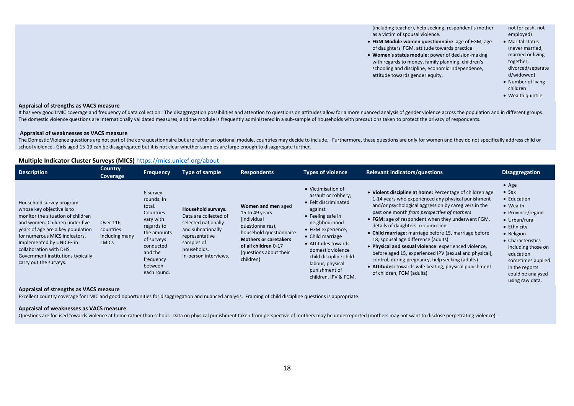(including teacher), help seeking, respondent's mother as a victim of spousal violence.

- **FGM Module women questionnaire**: age of FGM, age of daughters' FGM, attitude towards practice
- **Women's status module:** power of decision-making with regards to money, family planning, children's schooling and discipline, economic independence, attitude towards gender equity.

employed) • Marital status (never married, married or living together,

not for cash, not

divorced/separate d/widowed) • Number of living

children

• Wealth quintile

#### **Appraisal of strengths as VACS measure**

It has very good LMIC coverage and frequency of data collection. The disaggregation possibilities and attention to questions on attitudes allow for a more nuanced analysis of gender violence across the population and in di The domestic violence questions are internationally validated measures, and the module is frequently administered in a sub-sample of households with precautions taken to protect the privacy of respondents.

#### **Appraisal of weaknesses as VACS measure**

The Domestic Violence questions are not part of the core questionnaire but are rather an optional module, countries may decide to include. Furthermore, these questions are only for women and they do not specifically addres school violence. Girls aged 15-19 can be disaggregated but it is not clear whether samples are large enough to disaggregate further.

#### **Multiple Indicator Cluster Surveys (MICS)** <https://mics.unicef.org/about>

| <b>Description</b>                                                                                                                                                                                                                                                                                                       | <b>Country</b><br>Coverage                              | <b>Frequency</b>                                                                                                                                                     | <b>Type of sample</b>                                                                                                                                           | <b>Respondents</b>                                                                                                                                                                                 | <b>Types of violence</b>                                                                                                                                                                                                                                                                               | <b>Relevant indicators/questions</b>                                                                                                                                                                                                                                                                                                                                                                                                                                                                                                                                                                                                                                          | <b>Disaggregation</b>                                                                                                                                                                                                                                               |
|--------------------------------------------------------------------------------------------------------------------------------------------------------------------------------------------------------------------------------------------------------------------------------------------------------------------------|---------------------------------------------------------|----------------------------------------------------------------------------------------------------------------------------------------------------------------------|-----------------------------------------------------------------------------------------------------------------------------------------------------------------|----------------------------------------------------------------------------------------------------------------------------------------------------------------------------------------------------|--------------------------------------------------------------------------------------------------------------------------------------------------------------------------------------------------------------------------------------------------------------------------------------------------------|-------------------------------------------------------------------------------------------------------------------------------------------------------------------------------------------------------------------------------------------------------------------------------------------------------------------------------------------------------------------------------------------------------------------------------------------------------------------------------------------------------------------------------------------------------------------------------------------------------------------------------------------------------------------------------|---------------------------------------------------------------------------------------------------------------------------------------------------------------------------------------------------------------------------------------------------------------------|
| Household survey program<br>whose key objective is to<br>monitor the situation of children<br>and women. Children under five<br>years of age are a key population<br>for numerous MICS indicators.<br>Implemented by UNICEF in<br>collaboration with DHS.<br>Government institutions typically<br>carry out the surveys. | Over 116<br>countries<br>including many<br><b>LMICs</b> | 6 survey<br>rounds. In<br>total.<br>Countries<br>vary with<br>regards to<br>the amounts<br>of surveys<br>conducted<br>and the<br>frequency<br>between<br>each round. | Household surveys.<br>Data are collected of<br>selected nationally<br>and subnationally<br>representative<br>samples of<br>households.<br>In-person interviews. | Women and men aged<br>15 to 49 years<br>(individual<br>questionnaires),<br>household questionnaire<br><b>Mothers or caretakers</b><br>of all children 0-17<br>(questions about their)<br>children) | • Victimisation of<br>assault or robbery,<br>• Felt discriminated<br>against<br>$\bullet$ Feeling safe in<br>neighbourhood<br>• FGM experience,<br>• Child marriage<br>• Attitudes towards<br>domestic violence<br>child discipline child<br>labour, physical<br>punishment of<br>children, IPV & FGM. | • Violent discipline at home: Percentage of children age<br>1-14 years who experienced any physical punishment<br>and/or psychological aggression by caregivers in the<br>past one month from perspective of mothers<br>• FGM: age of respondent when they underwent FGM,<br>details of daughters' circumcision<br>• Child marriage: marriage before 15, marriage before<br>18, spousal age difference (adults)<br>• Physical and sexual violence: experienced violence,<br>before aged 15, experienced IPV (sexual and physical),<br>control, during pregnancy, help seeking (adults)<br>• Attitudes: towards wife beating, physical punishment<br>of children, FGM (adults) | $\bullet$ Age<br>$\bullet$ Sex<br>• Education<br>• Wealth<br>• Province/region<br>• Urban/rural<br>• Ethnicity<br>• Religion<br>• Characteristics<br>including those on<br>education<br>sometimes applied<br>in the reports<br>could be analysed<br>using raw data. |

#### **Appraisal of strengths as VACS measure**

Excellent country coverage for LMIC and good opportunities for disaggregation and nuanced analysis. Framing of child discipline questions is appropriate.

#### **Appraisal of weaknesses as VACS measure**

Questions are focused towards violence at home rather than school. Data on physical punishment taken from perspective of mothers may be underreported (mothers may not want to disclose perpetrating violence).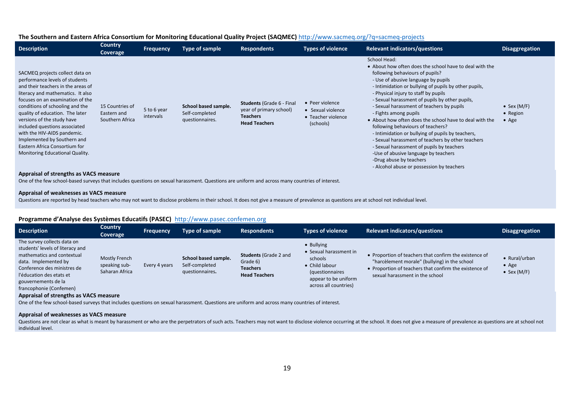### **The Southern and Eastern Africa Consortium for Monitoring Educational Quality Project (SAQMEC)** <http://www.sacmeq.org/?q=sacmeq-projects>

| <b>Description</b>                                                                                                                                                                                                                                                                                                                                                                                                                                                                                | <b>Country</b><br>Coverage                        | <b>Frequency</b>         | Type of sample                                            | <b>Respondents</b>                                                                                     | <b>Types of violence</b>                                                | <b>Relevant indicators/questions</b>                                                                                                                                                                                                                                                                                                                                                                                                                                                                                                                                                                                                                                                                                                              | <b>Disaggregation</b>                      |
|---------------------------------------------------------------------------------------------------------------------------------------------------------------------------------------------------------------------------------------------------------------------------------------------------------------------------------------------------------------------------------------------------------------------------------------------------------------------------------------------------|---------------------------------------------------|--------------------------|-----------------------------------------------------------|--------------------------------------------------------------------------------------------------------|-------------------------------------------------------------------------|---------------------------------------------------------------------------------------------------------------------------------------------------------------------------------------------------------------------------------------------------------------------------------------------------------------------------------------------------------------------------------------------------------------------------------------------------------------------------------------------------------------------------------------------------------------------------------------------------------------------------------------------------------------------------------------------------------------------------------------------------|--------------------------------------------|
| SACMEQ projects collect data on<br>performance levels of students<br>and their teachers in the areas of<br>literacy and mathematics. It also<br>focuses on an examination of the<br>conditions of schooling and the<br>quality of education. The later<br>versions of the study have<br>included questions associated<br>with the HIV-AIDS pandemic.<br>Implemented by Southern and<br>Eastern Africa Consortium for<br>Monitoring Educational Quality.<br>Appraisal of strengths as VACS measure | 15 Countries of<br>Eastern and<br>Southern Africa | 5 to 6 year<br>intervals | School based sample.<br>Self-completed<br>questionnaires. | <b>Students (Grade 6 - Final</b><br>year of primary school)<br><b>Teachers</b><br><b>Head Teachers</b> | • Peer violence<br>• Sexual violence<br>• Teacher violence<br>(schools) | School Head:<br>• About how often does the school have to deal with the<br>following behaviours of pupils?<br>- Use of abusive language by pupils<br>- Intimidation or bullying of pupils by other pupils,<br>- Physical injury to staff by pupils<br>- Sexual harassment of pupils by other pupils,<br>- Sexual harassment of teachers by pupils<br>- Fights among pupils<br>• About how often does the school have to deal with the<br>following behaviours of teachers?<br>- Intimidation or bullying of pupils by teachers,<br>- Sexual harassment of teachers by other teachers<br>- Sexual harassment of pupils by teachers<br>-Use of abusive language by teachers<br>-Drug abuse by teachers<br>- Alcohol abuse or possession by teachers | • Sex $(M/F)$<br>• Region<br>$\bullet$ Age |
|                                                                                                                                                                                                                                                                                                                                                                                                                                                                                                   |                                                   |                          |                                                           |                                                                                                        |                                                                         |                                                                                                                                                                                                                                                                                                                                                                                                                                                                                                                                                                                                                                                                                                                                                   |                                            |

One of the few school-based surveys that includes questions on sexual harassment. Questions are uniform and across many countries of interest.

#### **Appraisal of weaknesses as VACS measure**

Questions are reported by head teachers who may not want to disclose problems in their school. It does not give a measure of prevalence as questions are at school not individual level.

### **Programme d'Analyse des Systèmes Educatifs (PASEC)** [http://www.pasec.confemen.org](http://www.pasec.confemen.org/)

| <b>Description</b>                                                                                                                                                                                                                 | <b>Country</b><br>Coverage                       | <b>Frequency</b> | Type of sample                                            | <b>Respondents</b>                                                                  | <b>Types of violence</b>                                                                                                                     | <b>Relevant indicators/questions</b>                                                                                                                                                                 | <b>Disaggregation</b>                                 |
|------------------------------------------------------------------------------------------------------------------------------------------------------------------------------------------------------------------------------------|--------------------------------------------------|------------------|-----------------------------------------------------------|-------------------------------------------------------------------------------------|----------------------------------------------------------------------------------------------------------------------------------------------|------------------------------------------------------------------------------------------------------------------------------------------------------------------------------------------------------|-------------------------------------------------------|
| The survey collects data on<br>students' levels of literacy and<br>mathematics and contextual<br>data. Implemented by<br>Conference des ministres de<br>l'éducation des etats et<br>gouvernements de la<br>francophonie (Confemen) | Mostly French<br>speaking sub-<br>Saharan Africa | Every 4 years    | School based sample.<br>Self-completed<br>questionnaires. | <b>Students (Grade 2 and</b><br>Grade 6)<br><b>Teachers</b><br><b>Head Teachers</b> | • Bullying<br>• Sexual harassment in<br>schools<br>• Child labour<br><i>(questionnaires</i><br>appear to be uniform<br>across all countries) | • Proportion of teachers that confirm the existence of<br>"harcèlement morale" (bullying) in the school<br>• Proportion of teachers that confirm the existence of<br>sexual harassment in the school | • Rural/urban<br>$\bullet$ Age<br>$\bullet$ Sex (M/F) |

#### **Appraisal of strengths as VACS measure**

One of the few school-based surveys that includes questions on sexual harassment. Questions are uniform and across many countries of interest.

#### **Appraisal of weaknesses as VACS measure**

Questions are not clear as what is meant by harassment or who are the perpetrators of such acts. Teachers may not want to disclose violence occurring at the school. It does not give a measure of prevalence as questions are individual level.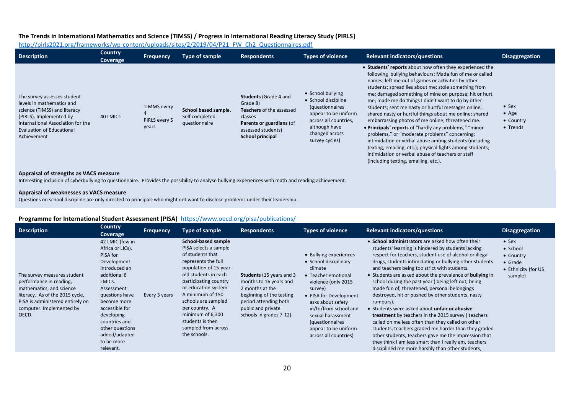### **The Trends in International Mathematics and Science (TIMSS) / Progress in International Reading Literacy Study (PIRLS)**

[http://pirls2021.org/frameworks/wp-content/uploads/sites/2/2019/04/P21\\_FW\\_Ch2\\_Questionnaires.pdf](http://pirls2021.org/frameworks/wp-content/uploads/sites/2/2019/04/P21_FW_Ch2_Questionnaires.pdf)

| <b>Description</b>                                                                                                                                                                                          | <b>Country</b><br>Coverage | <b>Frequency</b>                             | Type of sample                                          | <b>Respondents</b>                                                                                                                                           | Types of violence                                                                                                                                                 | <b>Relevant indicators/questions</b>                                                                                                                                                                                                                                                                                                                                                                                                                                                                                                                                                                                                                                                                                                                                                                                                                 | <b>Disaggregation</b>                                   |
|-------------------------------------------------------------------------------------------------------------------------------------------------------------------------------------------------------------|----------------------------|----------------------------------------------|---------------------------------------------------------|--------------------------------------------------------------------------------------------------------------------------------------------------------------|-------------------------------------------------------------------------------------------------------------------------------------------------------------------|------------------------------------------------------------------------------------------------------------------------------------------------------------------------------------------------------------------------------------------------------------------------------------------------------------------------------------------------------------------------------------------------------------------------------------------------------------------------------------------------------------------------------------------------------------------------------------------------------------------------------------------------------------------------------------------------------------------------------------------------------------------------------------------------------------------------------------------------------|---------------------------------------------------------|
| The survey assesses student<br>levels in mathematics and<br>science (TIMSS) and literacy<br>(PIRLS). Implemented by<br>International Association for the<br><b>Evaluation of Educational</b><br>Achievement | 40 LMICS                   | <b>TIMMS every</b><br>PIRLS every 5<br>years | School based sample.<br>Self completed<br>questionnaire | <b>Students (Grade 4 and</b><br>Grade 8)<br><b>Teachers</b> of the assessed<br>classes<br>Parents or guardians (of<br>assessed students)<br>School principal | • School bullying<br>• School discipline<br>(questionnaires<br>appear to be uniform<br>across all countries,<br>although have<br>changed across<br>survey cycles) | • Students' reports about how often they experienced the<br>following bullying behaviours: Made fun of me or called<br>names; left me out of games or activities by other<br>students; spread lies about me; stole something from<br>me; damaged something of mine on purpose; hit or hurt<br>me; made me do things I didn't want to do by other<br>students; sent me nasty or hurtful messages online;<br>shared nasty or hurtful things about me online; shared<br>embarrassing photos of me online; threatened me.<br>• Principals' reports of "hardly any problems," "minor<br>problems," or "moderate problems" concerning:<br>intimidation or verbal abuse among students (including<br>texting, emailing, etc.); physical fights among students;<br>intimidation or verbal abuse of teachers or staff<br>(including texting, emailing, etc.). | $\bullet$ Sex<br>$\bullet$ Age<br>• Country<br>• Trends |
| Approved of strongths as VACC moneyro                                                                                                                                                                       |                            |                                              |                                                         |                                                                                                                                                              |                                                                                                                                                                   |                                                                                                                                                                                                                                                                                                                                                                                                                                                                                                                                                                                                                                                                                                                                                                                                                                                      |                                                         |

### **Appraisal of strengths as VACS measure**

Interesting inclusion of cyberbullying to questionnaire. Provides the possibility to analyse bullying experiences with math and reading achievement.

### **Appraisal of weaknesses as VACS measure**

Questions on school discipline are only directed to principals who might not want to disclose problems under their leadership.

## **Programme for International Student Assessment (PISA)** <https://www.oecd.org/pisa/publications/>

| <b>Description</b>                                                                                                                                                                             | Country<br><b>Coverage</b>                                                                                                                                                                                                                                               | <b>Frequency</b> | <b>Type of sample</b>                                                                                                                                                                                                                                                                                                                         | <b>Respondents</b>                                                                                                                                                                  | <b>Types of violence</b>                                                                                                                                                                                                                                                              | <b>Relevant indicators/questions</b>                                                                                                                                                                                                                                                                                                                                                                                                                                                                                                                                                                                                                                                                                                                                                                                                                                                                                     | <b>Disaggregation</b>                                                                 |
|------------------------------------------------------------------------------------------------------------------------------------------------------------------------------------------------|--------------------------------------------------------------------------------------------------------------------------------------------------------------------------------------------------------------------------------------------------------------------------|------------------|-----------------------------------------------------------------------------------------------------------------------------------------------------------------------------------------------------------------------------------------------------------------------------------------------------------------------------------------------|-------------------------------------------------------------------------------------------------------------------------------------------------------------------------------------|---------------------------------------------------------------------------------------------------------------------------------------------------------------------------------------------------------------------------------------------------------------------------------------|--------------------------------------------------------------------------------------------------------------------------------------------------------------------------------------------------------------------------------------------------------------------------------------------------------------------------------------------------------------------------------------------------------------------------------------------------------------------------------------------------------------------------------------------------------------------------------------------------------------------------------------------------------------------------------------------------------------------------------------------------------------------------------------------------------------------------------------------------------------------------------------------------------------------------|---------------------------------------------------------------------------------------|
| The survey measures student<br>performance in reading,<br>mathematics, and science<br>literacy. As of the 2015 cycle,<br>PISA is administered entirely on<br>computer. Implemented by<br>OECD. | 42 LMIC (few in<br>Africa or LICs).<br>PISA for<br>Development<br>introduced an<br>additional 6<br>LMICs.<br>Assessment<br>questions have<br>become more<br>accessible for<br>developing<br>countries and<br>other questions<br>added/adapted<br>to be more<br>relevant. | Every 3 years    | <b>School-based sample</b><br>PISA selects a sample<br>of students that<br>represents the full<br>population of 15-year-<br>old students in each<br>participating country<br>or education system.<br>A minimum of 150<br>schools are sampled<br>per country. A<br>minimum of 6,300<br>students is then<br>sampled from across<br>the schools. | <b>Students</b> (15 years and 3)<br>months to 16 years and<br>2 months at the<br>beginning of the testing<br>period attending both<br>public and private<br>schools in grades 7-12) | • Bullying experiences<br>• School disciplinary<br>climate<br>• Teacher emotional<br>violence (only 2015<br>survey)<br>• PISA for Development<br>asks about safety<br>in/to/from school and<br>sexual harassment<br>(questionnaires)<br>appear to be uniform<br>across all countries) | • School administrators are asked how often their<br>students' learning is hindered by students lacking<br>respect for teachers, student use of alcohol or illegal<br>drugs, students intimidating or bullying other students<br>and teachers being too strict with students.<br>• Students are asked about the prevalence of <b>bullying</b> in<br>school during the past year (being left out, being<br>made fun of, threatened, personal belongings<br>destroyed, hit or pushed by other students, nasty<br>rumours).<br>• Students were asked about unfair or abusive<br><b>treatment</b> by teachers in the 2015 survey (teachers<br>called on me less often than they called on other<br>students, teachers graded me harder than they graded<br>other students, teachers gave me the impression that<br>they think I am less smart than I really am, teachers<br>disciplined me more harshly than other students, | $•$ Sex<br>• School<br>• Country<br>$\bullet$ Grade<br>• Ethnicity (for US<br>sample) |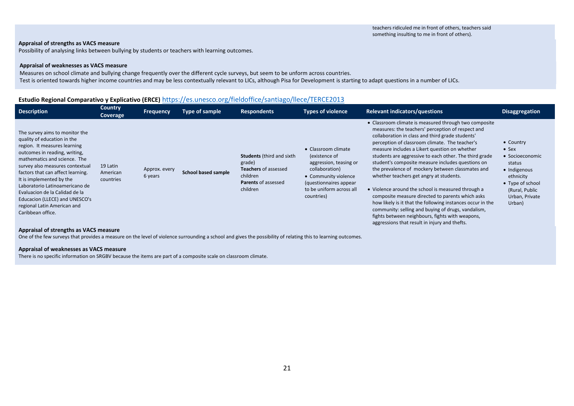### **Appraisal of strengths as VACS measure**

Possibility of analysing links between bullying by students or teachers with learning outcomes.

### **Appraisal of weaknesses as VACS measure**

Measures on school climate and bullying change frequently over the different cycle surveys, but seem to be unform across countries. Test is oriented towards higher income countries and may be less contextually relevant to LICs, although Pisa for Development is starting to adapt questions in a number of LICs.

### **Estudio Regional Comparativo y Explicativo (ERCE)** https://es.unesco.org/fieldoffice/santiago/llece/TERCE2013

| <b>Description</b>                                                                                                                                                                                                                                                                                                                                                                                                           | <b>Country</b><br>Coverage        | <b>Frequency</b>         | Type of sample             | <b>Respondents</b>                                                                                                              | Types of violence                                                                                                                                                             | <b>Relevant indicators/questions</b>                                                                                                                                                                                                                                                                                                                                                                                                                                                                                                                                                                                                                                                                                                                                                                              | <b>Disaggregation</b>                                                                                                                                  |
|------------------------------------------------------------------------------------------------------------------------------------------------------------------------------------------------------------------------------------------------------------------------------------------------------------------------------------------------------------------------------------------------------------------------------|-----------------------------------|--------------------------|----------------------------|---------------------------------------------------------------------------------------------------------------------------------|-------------------------------------------------------------------------------------------------------------------------------------------------------------------------------|-------------------------------------------------------------------------------------------------------------------------------------------------------------------------------------------------------------------------------------------------------------------------------------------------------------------------------------------------------------------------------------------------------------------------------------------------------------------------------------------------------------------------------------------------------------------------------------------------------------------------------------------------------------------------------------------------------------------------------------------------------------------------------------------------------------------|--------------------------------------------------------------------------------------------------------------------------------------------------------|
| The survey aims to monitor the<br>quality of education in the<br>region. It measures learning<br>outcomes in reading, writing,<br>mathematics and science. The<br>survey also measures contextual<br>factors that can affect learning.<br>It is implemented by the<br>Laboratorio Latinoamericano de<br>Evaluacion de la Calidad de la<br>Educacion (LLECE) and UNESCO's<br>regional Latin American and<br>Caribbean office. | 19 Latin<br>American<br>countries | Approx. every<br>6 years | <b>School based sample</b> | <b>Students</b> (third and sixth<br>grade)<br><b>Teachers</b> of assessed<br>children<br><b>Parents of assessed</b><br>children | • Classroom climate<br>(existence of<br>aggression, teasing or<br>collaboration)<br>• Community violence<br>(questionnaires appear)<br>to be uniform across all<br>countries) | • Classroom climate is measured through two composite<br>measures: the teachers' perception of respect and<br>collaboration in class and third grade students'<br>perception of classroom climate. The teacher's<br>measure includes a Likert question on whether<br>students are aggressive to each other. The third grade<br>student's composite measure includes questions on<br>the prevalence of mockery between classmates and<br>whether teachers get angry at students.<br>• Violence around the school is measured through a<br>composite measure directed to parents which asks<br>how likely is it that the following instances occur in the<br>community: selling and buying of drugs, vandalism,<br>fights between neighbours, fights with weapons,<br>aggressions that result in injury and thefts. | • Country<br>$\bullet$ Sex<br>• Socioeconomic<br>status<br>· Indigenous<br>ethnicity<br>• Type of school<br>(Rural, Public<br>Urban, Private<br>Urban) |

#### **Appraisal of strengths as VACS measure**

One of the few surveys that provides a measure on the level of violence surrounding a school and gives the possibility of relating this to learning outcomes.

#### **Appraisal of weaknesses as VACS measure**

There is no specific information on SRGBV because the items are part of a composite scale on classroom climate.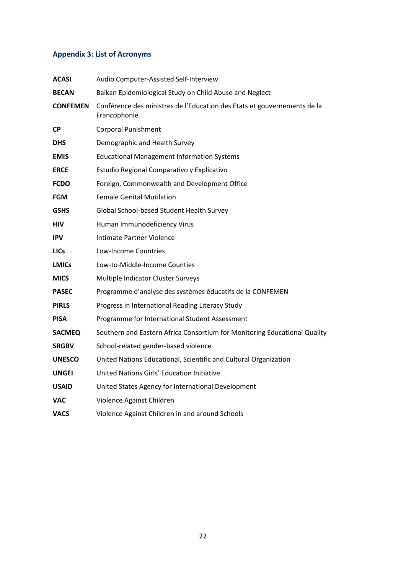## **Appendix 3: List of Acronyms**

| <b>ACASI</b>    | Audio Computer-Assisted Self-Interview                                                   |
|-----------------|------------------------------------------------------------------------------------------|
| <b>BECAN</b>    | Balkan Epidemiological Study on Child Abuse and Neglect                                  |
| <b>CONFEMEN</b> | Conférence des ministres de l'Education des Etats et gouvernements de la<br>Francophonie |
| <b>CP</b>       | <b>Corporal Punishment</b>                                                               |
| <b>DHS</b>      | Demographic and Health Survey                                                            |
| <b>EMIS</b>     | <b>Educational Management Information Systems</b>                                        |
| <b>ERCE</b>     | Estudio Regional Comparativo y Explicativo                                               |
| <b>FCDO</b>     | Foreign, Commonwealth and Development Office                                             |
| <b>FGM</b>      | <b>Female Genital Mutilation</b>                                                         |
| <b>GSHS</b>     | Global School-based Student Health Survey                                                |
| <b>HIV</b>      | Human Immunodeficiency Virus                                                             |
| <b>IPV</b>      | Intimate Partner Violence                                                                |
| <b>LICs</b>     | Low-Income Countries                                                                     |
| <b>LMICs</b>    | Low-to-Middle-Income Counties                                                            |
| <b>MICS</b>     | Multiple Indicator Cluster Surveys                                                       |
| <b>PASEC</b>    | Programme d'analyse des systèmes éducatifs de la CONFEMEN                                |
| <b>PIRLS</b>    | Progress in International Reading Literacy Study                                         |
| <b>PISA</b>     | Programme for International Student Assessment                                           |
| <b>SACMEQ</b>   | Southern and Eastern Africa Consortium for Monitoring Educational Quality                |
| <b>SRGBV</b>    | School-related gender-based violence                                                     |
| <b>UNESCO</b>   | United Nations Educational, Scientific and Cultural Organization                         |
| <b>UNGEI</b>    | United Nations Girls' Education Initiative                                               |
| <b>USAID</b>    | United States Agency for International Development                                       |
| VAC             | Violence Against Children                                                                |
| <b>VACS</b>     | Violence Against Children in and around Schools                                          |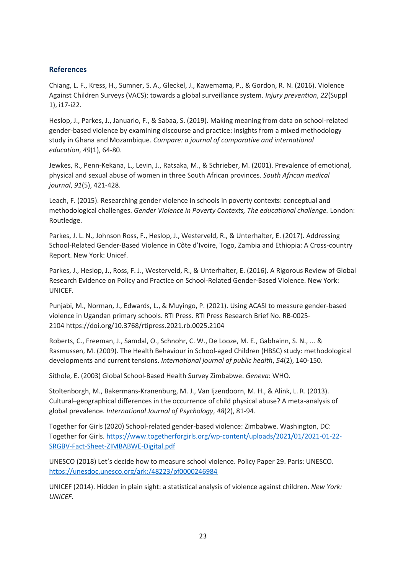## **References**

Chiang, L. F., Kress, H., Sumner, S. A., Gleckel, J., Kawemama, P., & Gordon, R. N. (2016). Violence Against Children Surveys (VACS): towards a global surveillance system. *Injury prevention*, *22*(Suppl 1), i17-i22.

Heslop, J., Parkes, J., Januario, F., & Sabaa, S. (2019). Making meaning from data on school-related gender-based violence by examining discourse and practice: insights from a mixed methodology study in Ghana and Mozambique. *Compare: a journal of comparative and international education*, *49*(1), 64-80.

Jewkes, R., Penn-Kekana, L., Levin, J., Ratsaka, M., & Schrieber, M. (2001). Prevalence of emotional, physical and sexual abuse of women in three South African provinces. *South African medical journal*, *91*(5), 421-428.

Leach, F. (2015). Researching gender violence in schools in poverty contexts: conceptual and methodological challenges. *Gender Violence in Poverty Contexts, The educational challenge.* London: Routledge.

Parkes, J. L. N., Johnson Ross, F., Heslop, J., Westerveld, R., & Unterhalter, E. (2017). Addressing School-Related Gender-Based Violence in Côte d'Ivoire, Togo, Zambia and Ethiopia: A Cross-country Report. New York: Unicef.

Parkes, J., Heslop, J., Ross, F. J., Westerveld, R., & Unterhalter, E. (2016). A Rigorous Review of Global Research Evidence on Policy and Practice on School-Related Gender-Based Violence. New York: UNICEF.

Punjabi, M., Norman, J., Edwards, L., & Muyingo, P. (2021). Using ACASI to measure gender-based violence in Ugandan primary schools. RTI Press. RTI Press Research Brief No. RB-0025- 2104 <https://doi.org/10.3768/rtipress.2021.rb.0025.2104>

Roberts, C., Freeman, J., Samdal, O., Schnohr, C. W., De Looze, M. E., Gabhainn, S. N., ... & Rasmussen, M. (2009). The Health Behaviour in School-aged Children (HBSC) study: methodological developments and current tensions. *International journal of public health*, *54*(2), 140-150.

Sithole, E. (2003) Global School-Based Health Survey Zimbabwe. *Geneva*: WHO.

Stoltenborgh, M., Bakermans-Kranenburg, M. J., Van Ijzendoorn, M. H., & Alink, L. R. (2013). Cultural–geographical differences in the occurrence of child physical abuse? A meta-analysis of global prevalence. *International Journal of Psychology*, *48*(2), 81-94.

Together for Girls (2020) School-related gender-based violence: Zimbabwe. Washington, DC: Together for Girls. [https://www.togetherforgirls.org/wp-content/uploads/2021/01/2021-01-22-](https://www.togetherforgirls.org/wp-content/uploads/2021/01/2021-01-22-SRGBV-Fact-Sheet-ZIMBABWE-Digital.pdf) [SRGBV-Fact-Sheet-ZIMBABWE-Digital.pdf](https://www.togetherforgirls.org/wp-content/uploads/2021/01/2021-01-22-SRGBV-Fact-Sheet-ZIMBABWE-Digital.pdf)

UNESCO (2018) Let's decide how to measure school violence. Policy Paper 29. Paris: UNESCO. <https://unesdoc.unesco.org/ark:/48223/pf0000246984>

UNICEF (2014). Hidden in plain sight: a statistical analysis of violence against children. *New York: UNICEF*.